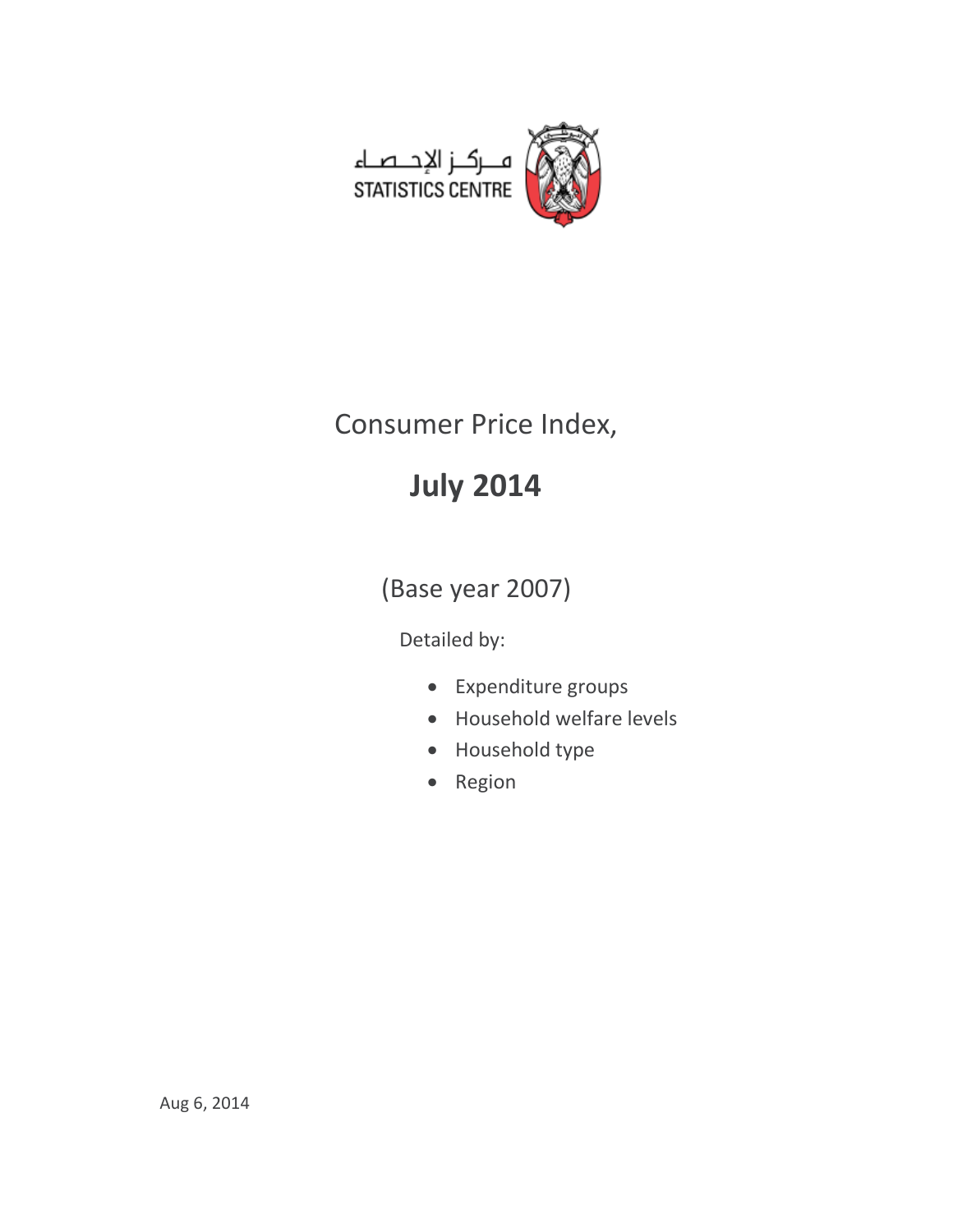

# Consumer Price Index,

# **July 2014**

(Base year 2007)

Detailed by:

- Expenditure groups
- Household welfare levels
- Household type
- Region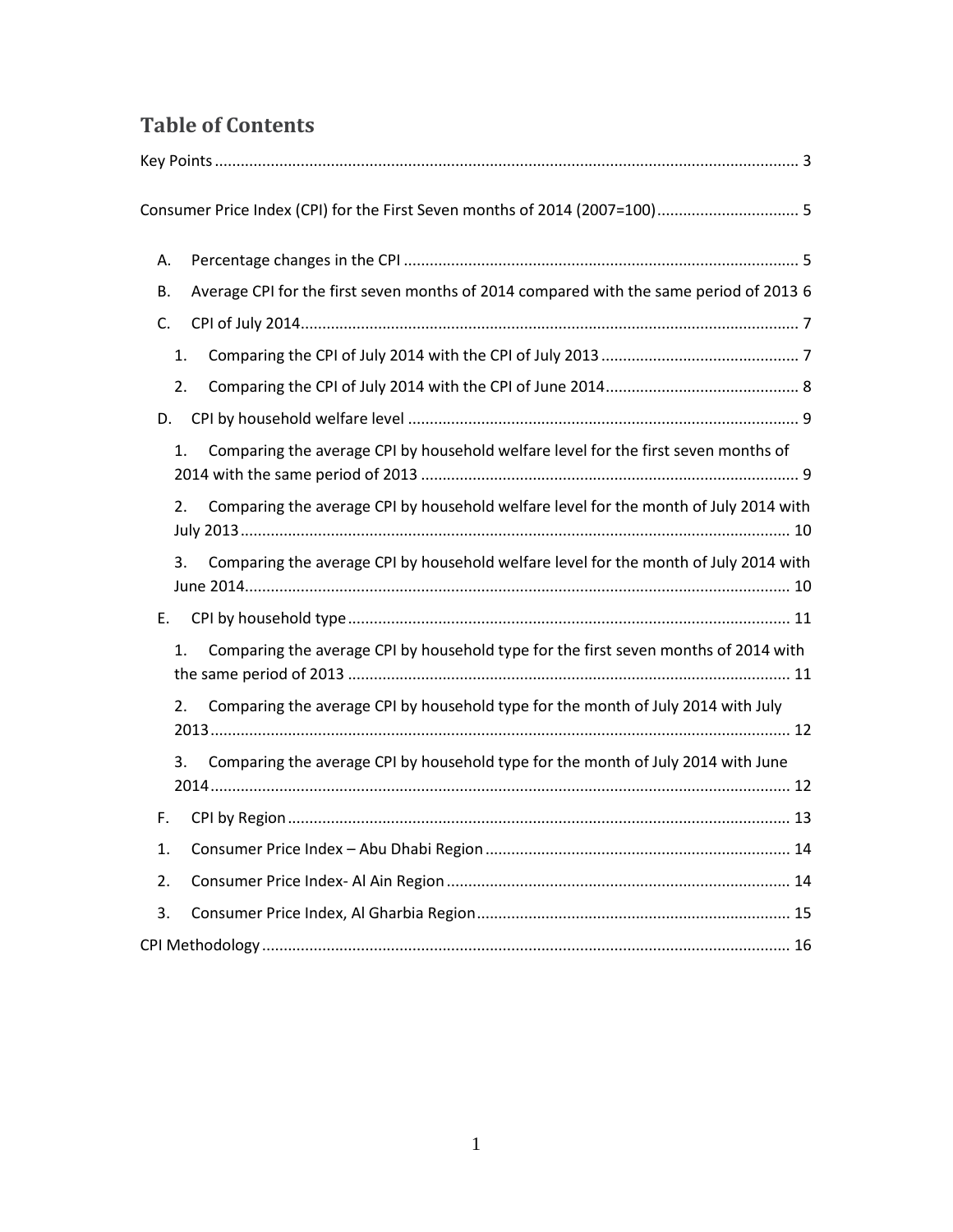# **Table of Contents**

| Consumer Price Index (CPI) for the First Seven months of 2014 (2007=100) 5                   |
|----------------------------------------------------------------------------------------------|
| А.                                                                                           |
| Average CPI for the first seven months of 2014 compared with the same period of 2013 6<br>В. |
| C.                                                                                           |
| 1.                                                                                           |
| 2.                                                                                           |
| D.                                                                                           |
| Comparing the average CPI by household welfare level for the first seven months of<br>1.     |
| Comparing the average CPI by household welfare level for the month of July 2014 with<br>2.   |
| Comparing the average CPI by household welfare level for the month of July 2014 with<br>3.   |
| E.                                                                                           |
| Comparing the average CPI by household type for the first seven months of 2014 with<br>1.    |
| Comparing the average CPI by household type for the month of July 2014 with July<br>2.       |
| Comparing the average CPI by household type for the month of July 2014 with June<br>3.       |
| F.                                                                                           |
| 1.                                                                                           |
| 2.                                                                                           |
| 3.                                                                                           |
|                                                                                              |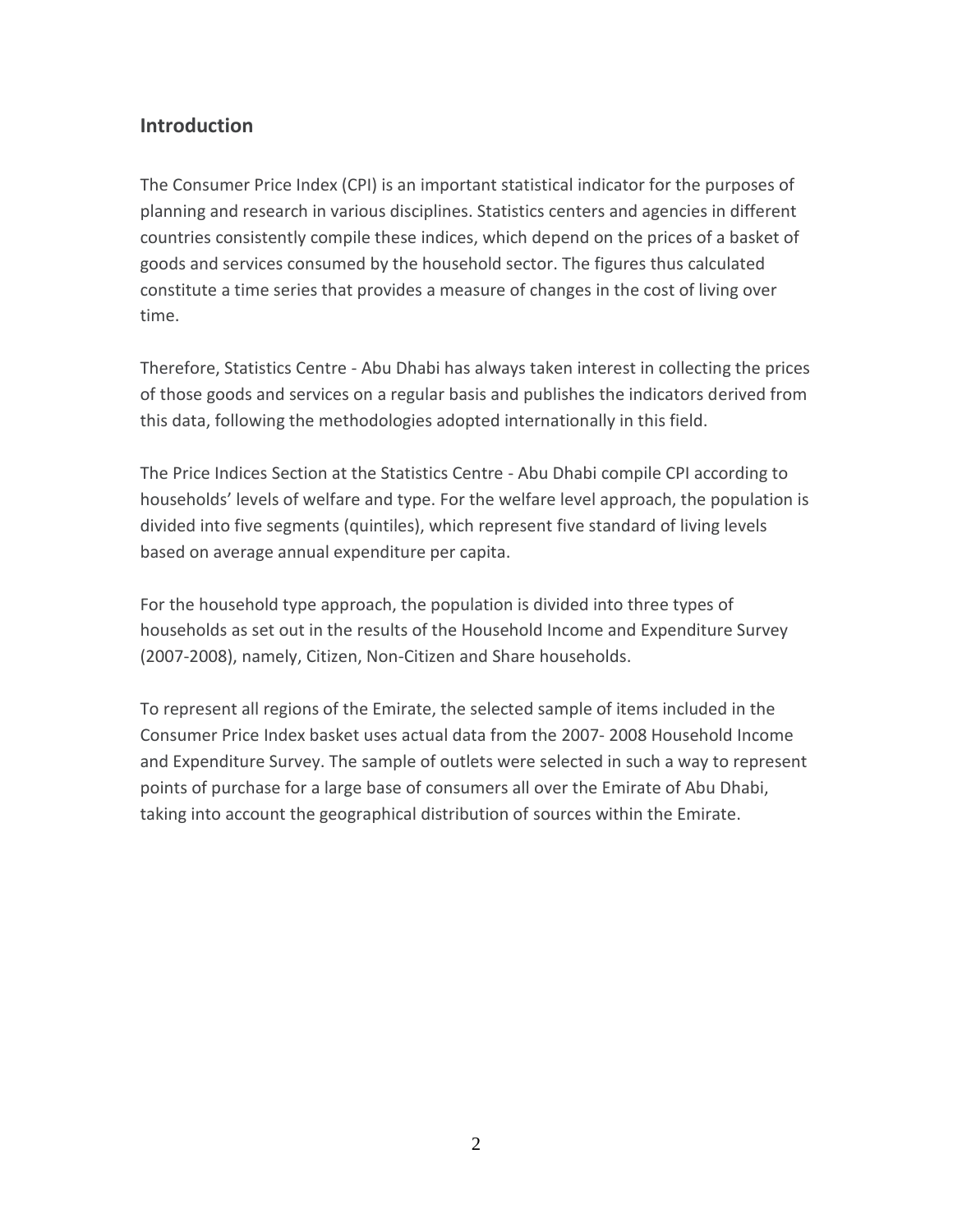# **Introduction**

The Consumer Price Index (CPI) is an important statistical indicator for the purposes of planning and research in various disciplines. Statistics centers and agencies in different countries consistently compile these indices, which depend on the prices of a basket of goods and services consumed by the household sector. The figures thus calculated constitute a time series that provides a measure of changes in the cost of living over time.

Therefore, Statistics Centre - Abu Dhabi has always taken interest in collecting the prices of those goods and services on a regular basis and publishes the indicators derived from this data, following the methodologies adopted internationally in this field.

The Price Indices Section at the Statistics Centre - Abu Dhabi compile CPI according to households' levels of welfare and type. For the welfare level approach, the population is divided into five segments (quintiles), which represent five standard of living levels based on average annual expenditure per capita.

For the household type approach, the population is divided into three types of households as set out in the results of the Household Income and Expenditure Survey (2007-2008), namely, Citizen, Non-Citizen and Share households.

To represent all regions of the Emirate, the selected sample of items included in the Consumer Price Index basket uses actual data from the 2007- 2008 Household Income and Expenditure Survey. The sample of outlets were selected in such a way to represent points of purchase for a large base of consumers all over the Emirate of Abu Dhabi, taking into account the geographical distribution of sources within the Emirate.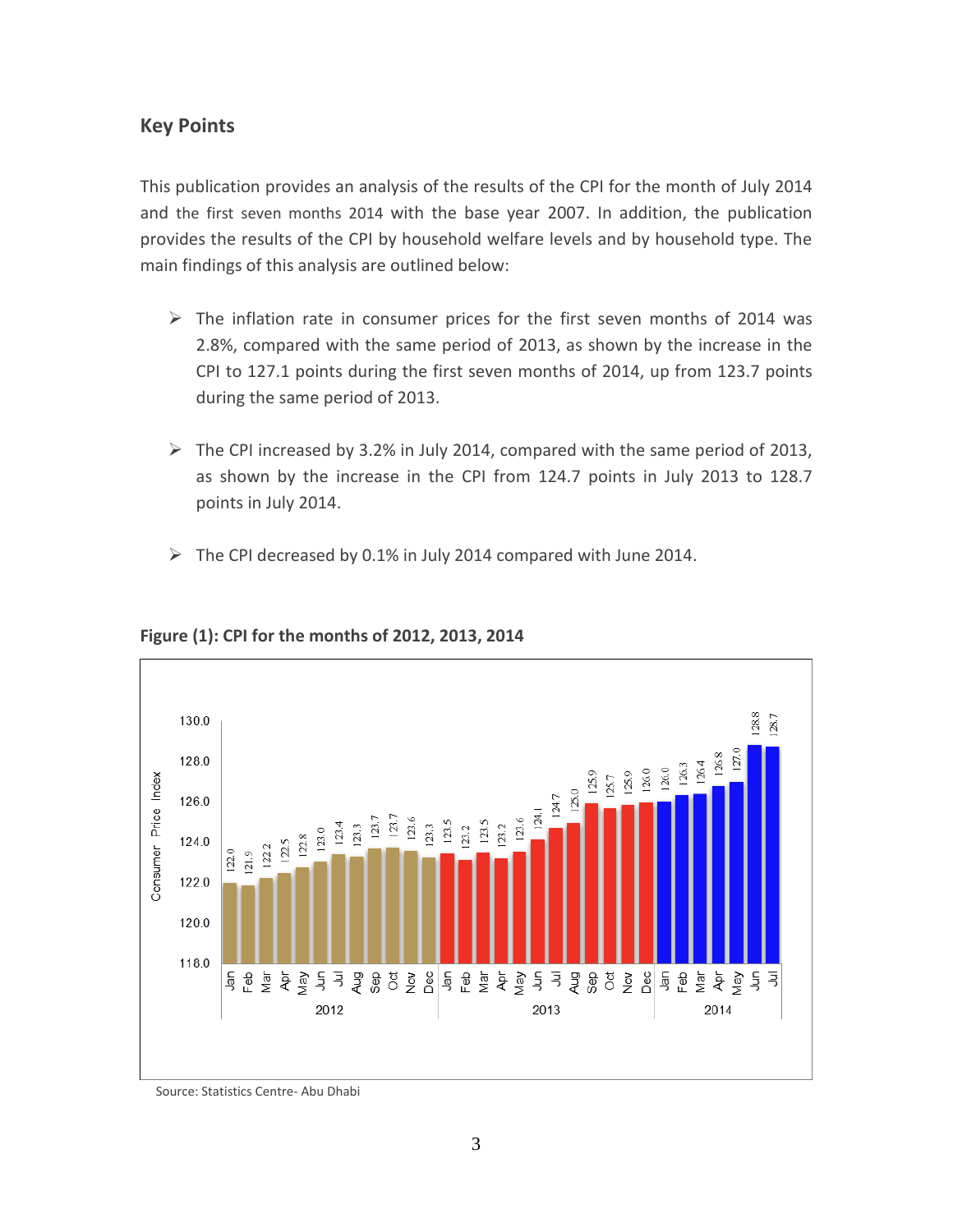### <span id="page-3-0"></span>**Key Points**

This publication provides an analysis of the results of the CPI for the month of July 2014 and the first seven months 2014 with the base year 2007. In addition, the publication provides the results of the CPI by household welfare levels and by household type. The main findings of this analysis are outlined below:

- $\triangleright$  The inflation rate in consumer prices for the first seven months of 2014 was 2.8%, compared with the same period of 2013, as shown by the increase in the CPI to 127.1 points during the first seven months of 2014, up from 123.7 points during the same period of 2013.
- $\triangleright$  The CPI increased by 3.2% in July 2014, compared with the same period of 2013, as shown by the increase in the CPI from 124.7 points in July 2013 to 128.7 points in July 2014.
- $\triangleright$  The CPI decreased by 0.1% in July 2014 compared with June 2014.



#### **Figure (1): CPI for the months of 2012, 2013, 2014**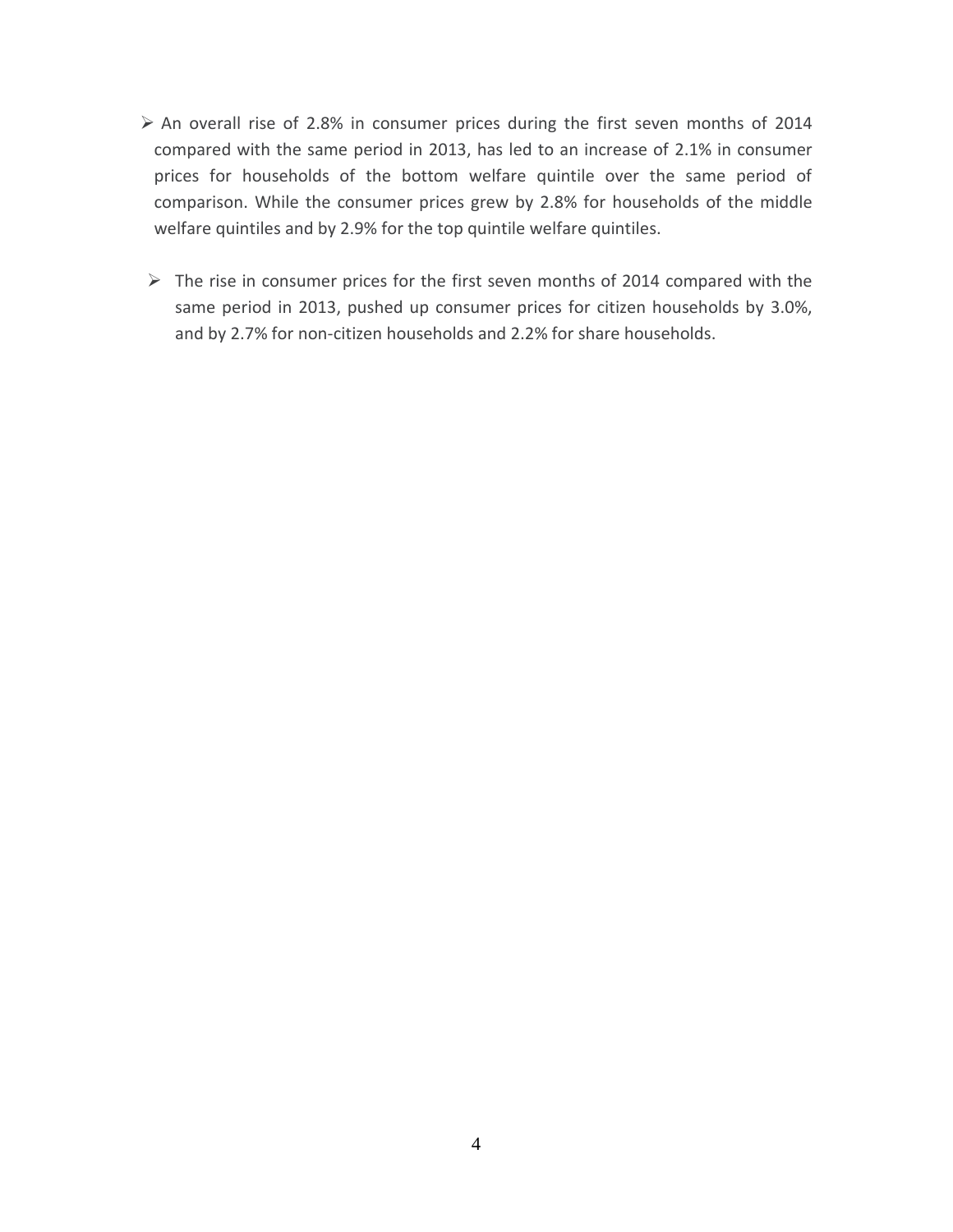- $\triangleright$  An overall rise of 2.8% in consumer prices during the first seven months of 2014 compared with the same period in 2013, has led to an increase of 2.1% in consumer prices for households of the bottom welfare quintile over the same period of comparison. While the consumer prices grew by 2.8% for households of the middle welfare quintiles and by 2.9% for the top quintile welfare quintiles.
- $\triangleright$  The rise in consumer prices for the first seven months of 2014 compared with the same period in 2013, pushed up consumer prices for citizen households by 3.0%, and by 2.7% for non-citizen households and 2.2% for share households.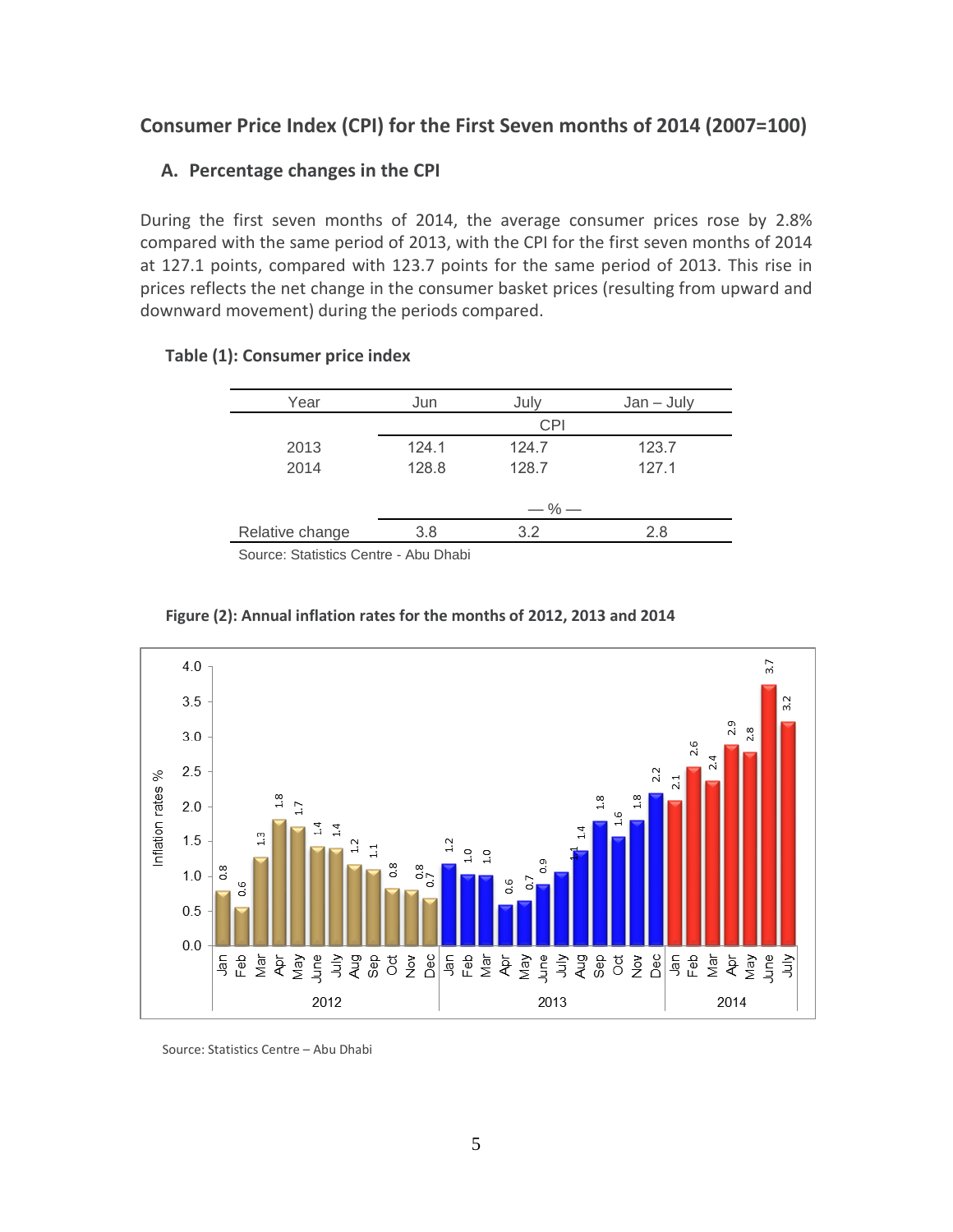# <span id="page-5-1"></span><span id="page-5-0"></span>**Consumer Price Index (CPI) for the First Seven months of 2014 (2007=100)**

#### **A. Percentage changes in the CPI**

During the first seven months of 2014, the average consumer prices rose by 2.8% compared with the same period of 2013, with the CPI for the first seven months of 2014 at 127.1 points, compared with 123.7 points for the same period of 2013. This rise in prices reflects the net change in the consumer basket prices (resulting from upward and downward movement) during the periods compared.

| Year            | Jun   | July       | $Jan - July$ |
|-----------------|-------|------------|--------------|
|                 |       | <b>CPI</b> |              |
| 2013            | 124.1 | 124.7      | 123.7        |
| 2014            | 128.8 | 128.7      | 127.1        |
|                 |       |            |              |
|                 |       | $-$ % $-$  |              |
| Relative change | 3.8   | 3.2        | 2.8          |
|                 |       |            |              |

#### **Table (1): Consumer price index**

Source: Statistics Centre - Abu Dhabi



#### **Figure (2): Annual inflation rates for the months of 2012, 2013 and 2014**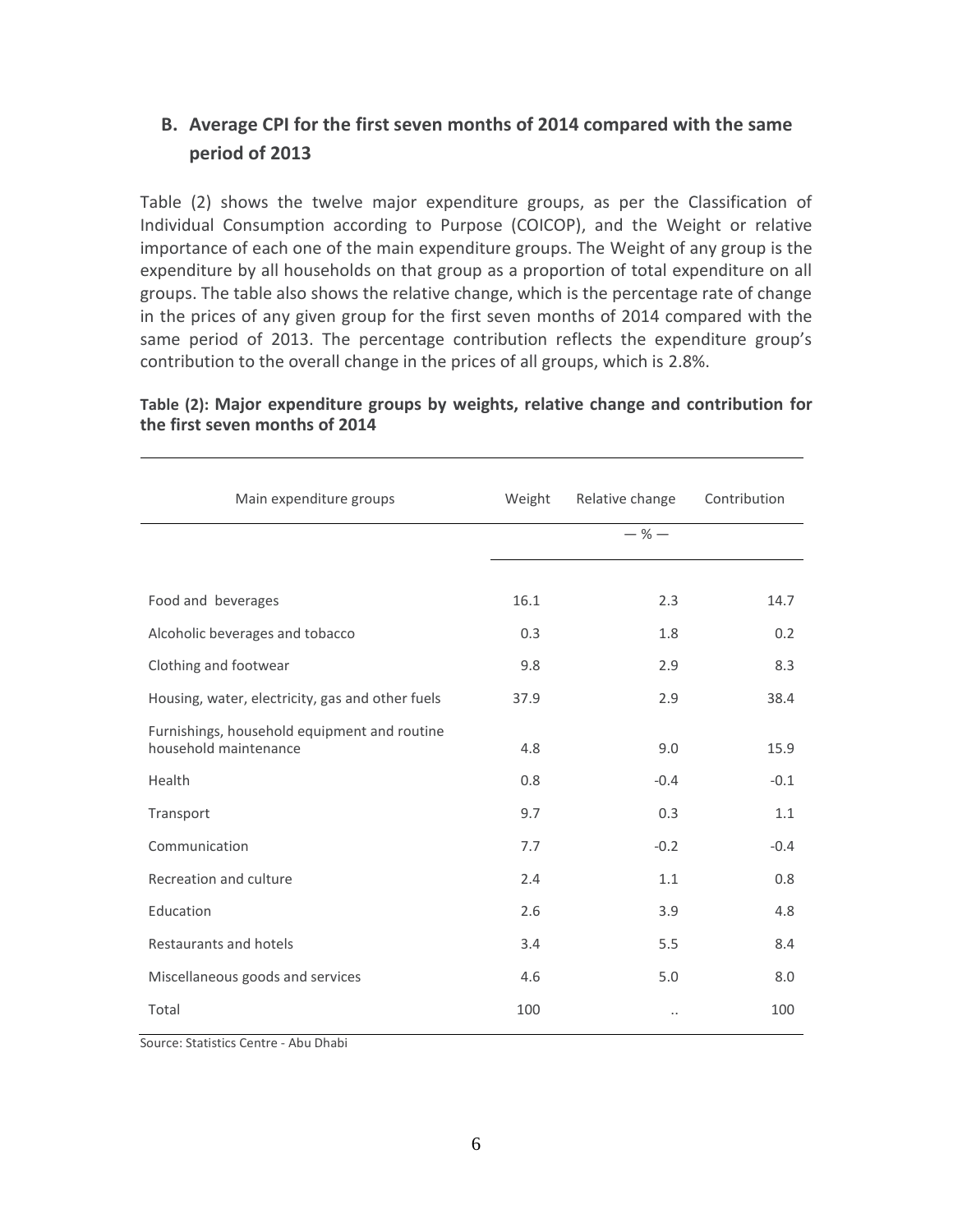# <span id="page-6-0"></span>**B. Average CPI for the first seven months of 2014 compared with the same period of 2013**

Table (2) shows the twelve major expenditure groups, as per the Classification of Individual Consumption according to Purpose (COICOP), and the Weight or relative importance of each one of the main expenditure groups. The Weight of any group is the expenditure by all households on that group as a proportion of total expenditure on all groups. The table also shows the relative change, which is the percentage rate of change in the prices of any given group for the first seven months of 2014 compared with the same period of 2013. The percentage contribution reflects the expenditure group's contribution to the overall change in the prices of all groups, which is 2.8%.

| Main expenditure groups                                               | Weight | Relative change      | Contribution |
|-----------------------------------------------------------------------|--------|----------------------|--------------|
|                                                                       |        | $-$ % $-$            |              |
|                                                                       |        |                      |              |
| Food and beverages                                                    | 16.1   | 2.3                  | 14.7         |
| Alcoholic beverages and tobacco                                       | 0.3    | 1.8                  | 0.2          |
| Clothing and footwear                                                 | 9.8    | 2.9                  | 8.3          |
| Housing, water, electricity, gas and other fuels                      | 37.9   | 2.9                  | 38.4         |
| Furnishings, household equipment and routine<br>household maintenance | 4.8    | 9.0                  | 15.9         |
| Health                                                                | 0.8    | $-0.4$               | $-0.1$       |
| Transport                                                             | 9.7    | 0.3                  | 1.1          |
| Communication                                                         | 7.7    | $-0.2$               | $-0.4$       |
| Recreation and culture                                                | 2.4    | 1.1                  | 0.8          |
| Education                                                             | 2.6    | 3.9                  | 4.8          |
| Restaurants and hotels                                                | 3.4    | 5.5                  | 8.4          |
| Miscellaneous goods and services                                      | 4.6    | 5.0                  | 8.0          |
| Total                                                                 | 100    | $\ddot{\phantom{a}}$ | 100          |

#### **Table (2): Major expenditure groups by weights, relative change and contribution for the first seven months of 2014**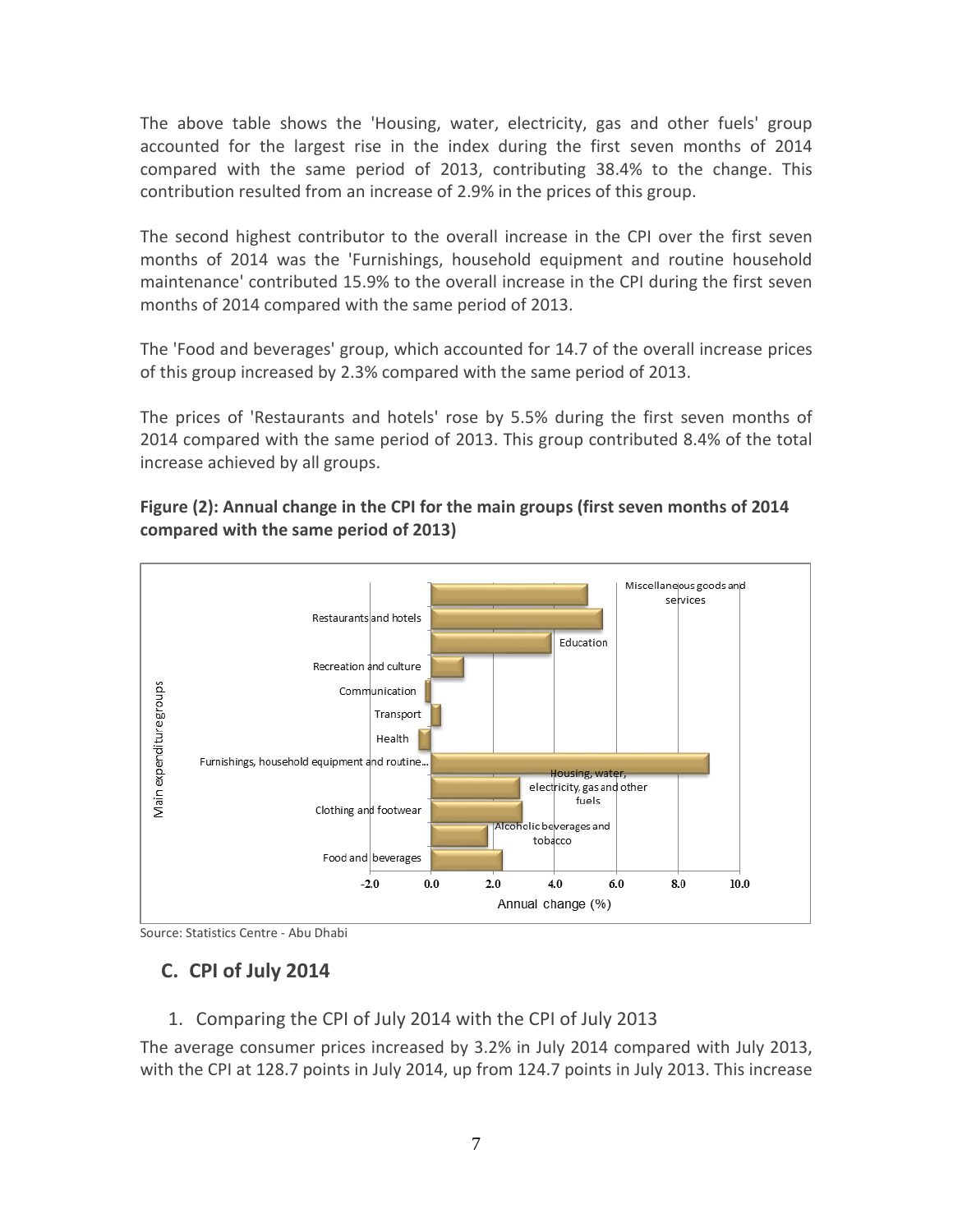The above table shows the 'Housing, water, electricity, gas and other fuels' group accounted for the largest rise in the index during the first seven months of 2014 compared with the same period of 2013, contributing 38.4% to the change. This contribution resulted from an increase of 2.9% in the prices of this group.

The second highest contributor to the overall increase in the CPI over the first seven months of 2014 was the 'Furnishings, household equipment and routine household maintenance' contributed 15.9% to the overall increase in the CPI during the first seven months of 2014 compared with the same period of 2013.

The 'Food and beverages' group, which accounted for 14.7 of the overall increase prices of this group increased by 2.3% compared with the same period of 2013.

The prices of 'Restaurants and hotels' rose by 5.5% during the first seven months of 2014 compared with the same period of 2013. This group contributed 8.4% of the total increase achieved by all groups.



#### **Figure (2): Annual change in the CPI for the main groups (first seven months of 2014 compared with the same period of 2013)**

<span id="page-7-0"></span>Source: Statistics Centre - Abu Dhabi

# <span id="page-7-1"></span>**C. CPI of July 2014**

#### 1. Comparing the CPI of July 2014 with the CPI of July 2013

The average consumer prices increased by 3.2% in July 2014 compared with July 2013, with the CPI at 128.7 points in July 2014, up from 124.7 points in July 2013. This increase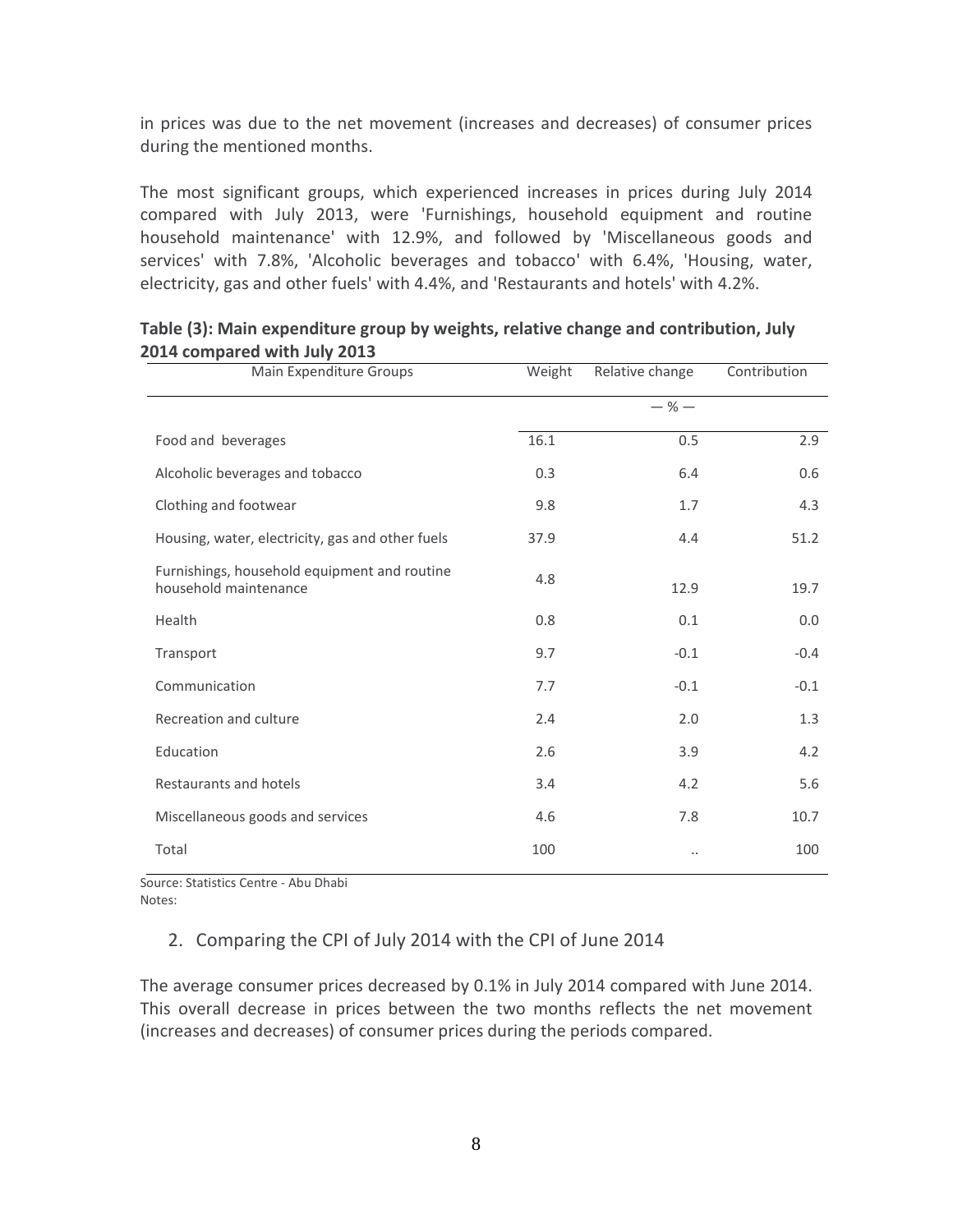in prices was due to the net movement (increases and decreases) of consumer prices during the mentioned months.

The most significant groups, which experienced increases in prices during July 2014 compared with July 2013, were 'Furnishings, household equipment and routine household maintenance' with 12.9%, and followed by 'Miscellaneous goods and services' with 7.8%, 'Alcoholic beverages and tobacco' with 6.4%, 'Housing, water, electricity, gas and other fuels' with 4.4%, and 'Restaurants and hotels' with 4.2%.

| Main Expenditure Groups                                               | Weight | Relative change | Contribution |
|-----------------------------------------------------------------------|--------|-----------------|--------------|
|                                                                       |        | $-$ % $-$       |              |
| Food and beverages                                                    | 16.1   | 0.5             | 2.9          |
| Alcoholic beverages and tobacco                                       | 0.3    | 6.4             | 0.6          |
| Clothing and footwear                                                 | 9.8    | 1.7             | 4.3          |
| Housing, water, electricity, gas and other fuels                      | 37.9   | 4.4             | 51.2         |
| Furnishings, household equipment and routine<br>household maintenance | 4.8    | 12.9            | 19.7         |
| Health                                                                | 0.8    | 0.1             | 0.0          |
| Transport                                                             | 9.7    | $-0.1$          | $-0.4$       |
| Communication                                                         | 7.7    | $-0.1$          | $-0.1$       |
| Recreation and culture                                                | 2.4    | 2.0             | 1.3          |
| Education                                                             | 2.6    | 3.9             | 4.2          |
| Restaurants and hotels                                                | 3.4    | 4.2             | 5.6          |
| Miscellaneous goods and services                                      | 4.6    | 7.8             | 10.7         |
| Total                                                                 | 100    | $\ldots$        | 100          |

#### **Table (3): Main expenditure group by weights, relative change and contribution, July 2014 compared with July 2013**

<span id="page-8-0"></span>Source: Statistics Centre - Abu Dhabi Notes:

#### 2. Comparing the CPI of July 2014 with the CPI of June 2014

The average consumer prices decreased by 0.1% in July 2014 compared with June 2014. This overall decrease in prices between the two months reflects the net movement (increases and decreases) of consumer prices during the periods compared.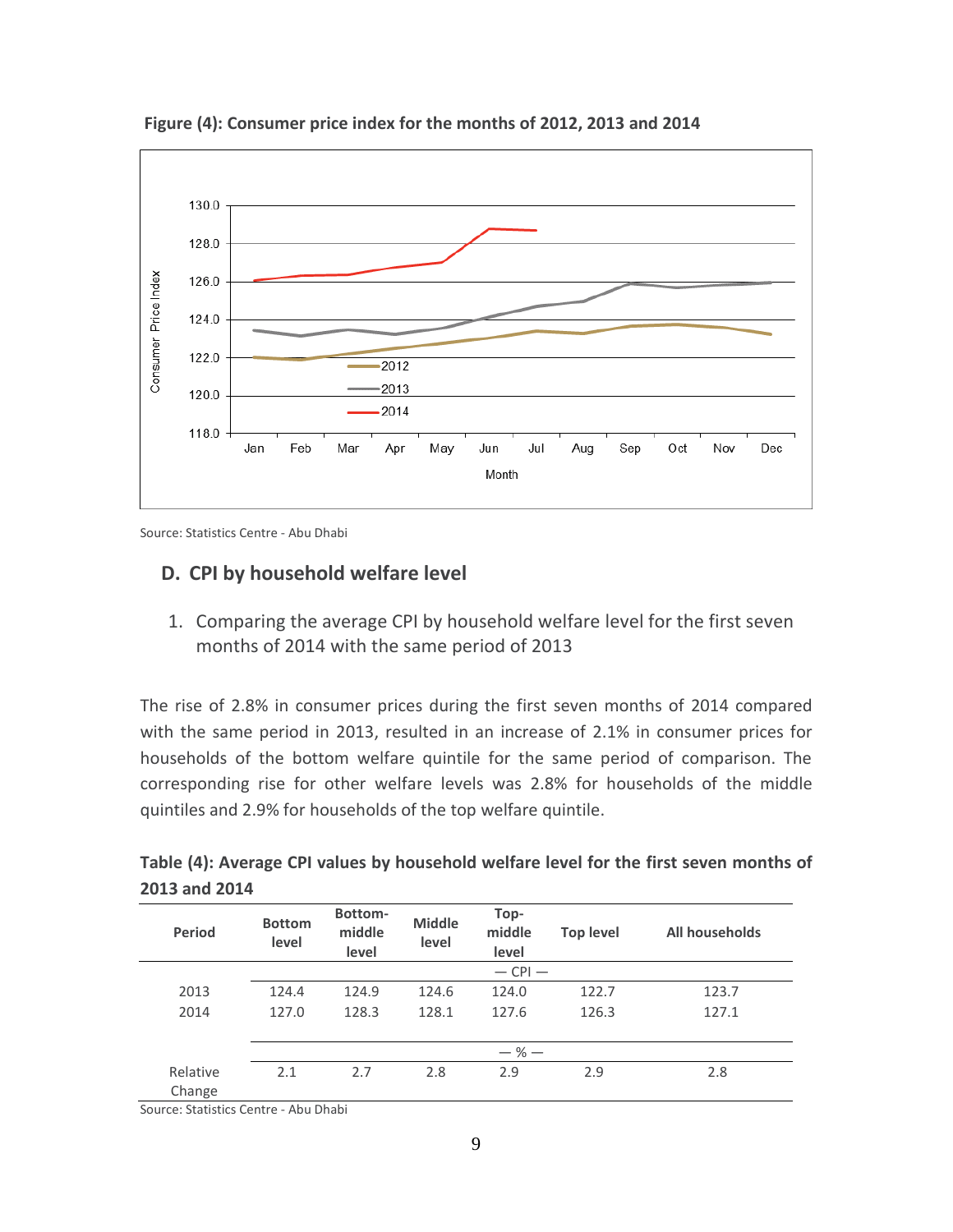

**Figure (4): Consumer price index for the months of 2012, 2013 and 2014**

Source: Statistics Centre - Abu Dhabi

#### <span id="page-9-1"></span><span id="page-9-0"></span>**D. CPI by household welfare level**

1. Comparing the average CPI by household welfare level for the first seven months of 2014 with the same period of 2013

The rise of 2.8% in consumer prices during the first seven months of 2014 compared with the same period in 2013, resulted in an increase of 2.1% in consumer prices for households of the bottom welfare quintile for the same period of comparison. The corresponding rise for other welfare levels was 2.8% for households of the middle quintiles and 2.9% for households of the top welfare quintile.

| Rottom-                                                                                | Ton- |  |
|----------------------------------------------------------------------------------------|------|--|
| 2013 and 2014                                                                          |      |  |
| Table (4): Average CPI values by household welfare level for the first seven months of |      |  |

| <b>Period</b>      | <b>Bottom</b><br>level | Bottom-<br>middle<br>level | <b>Middle</b><br>level | Top-<br>middle<br>level | <b>Top level</b> | All households |  |
|--------------------|------------------------|----------------------------|------------------------|-------------------------|------------------|----------------|--|
|                    |                        |                            |                        | $-$ CPI $-$             |                  |                |  |
| 2013               | 124.4                  | 124.9                      | 124.6                  | 124.0                   | 122.7            | 123.7          |  |
| 2014               | 127.0                  | 128.3                      | 128.1                  | 127.6                   | 126.3            | 127.1          |  |
|                    |                        |                            |                        |                         |                  |                |  |
|                    |                        |                            |                        | $-$ % $-$               |                  |                |  |
| Relative<br>Change | 2.1                    | 2.7                        | 2.8                    | 2.9                     | 2.9              | 2.8            |  |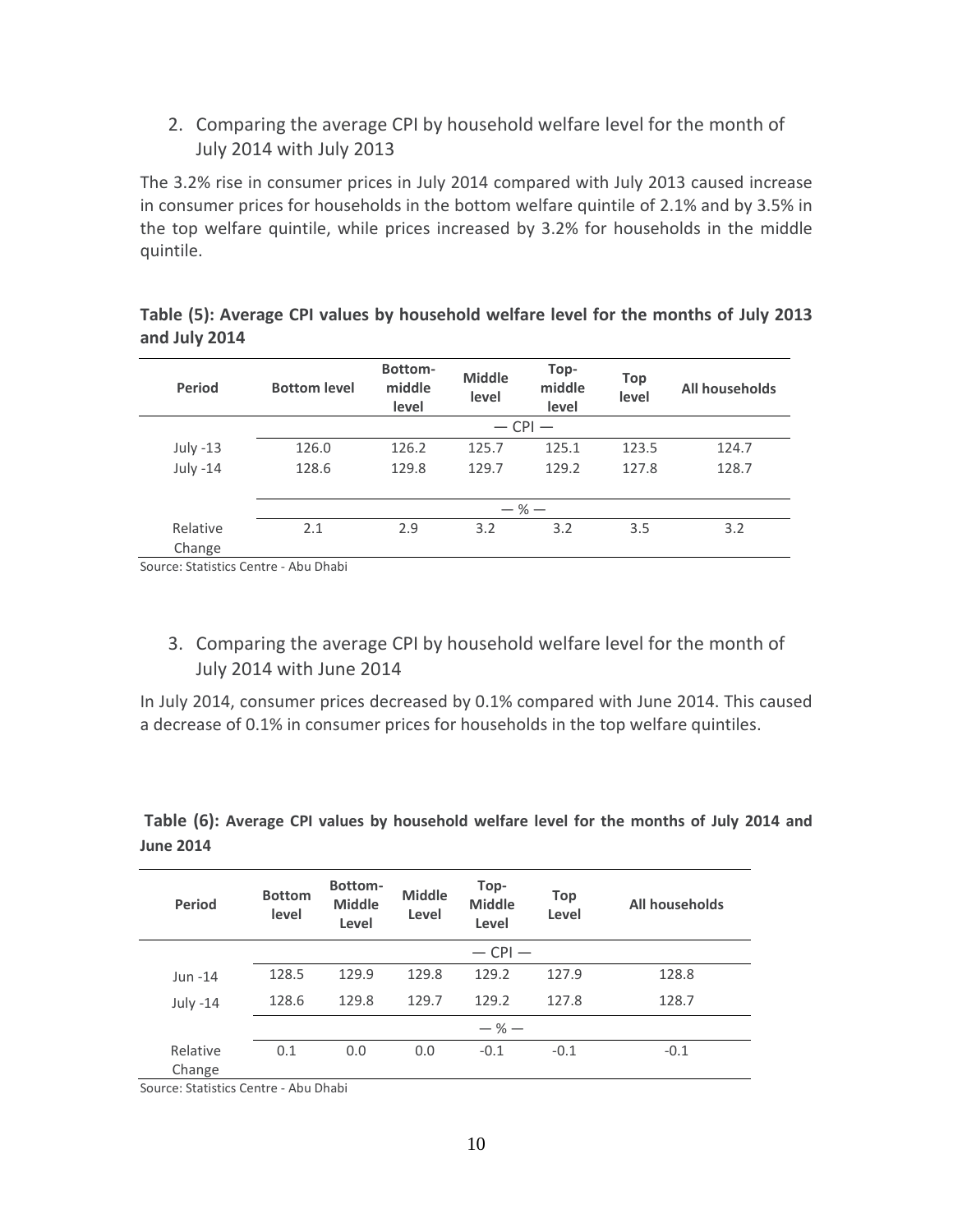<span id="page-10-0"></span>2. Comparing the average CPI by household welfare level for the month of July 2014 with July 2013

The 3.2% rise in consumer prices in July 2014 compared with July 2013 caused increase in consumer prices for households in the bottom welfare quintile of 2.1% and by 3.5% in the top welfare quintile, while prices increased by 3.2% for households in the middle quintile.

**Table (5): Average CPI values by household welfare level for the months of July 2013 and July 2014**

| <b>Period</b>      | <b>Bottom level</b> | Bottom-<br>middle<br>level | <b>Middle</b><br>level | Top-<br>middle<br>level | <b>Top</b><br>level | All households |
|--------------------|---------------------|----------------------------|------------------------|-------------------------|---------------------|----------------|
|                    |                     |                            |                        | $-$ CPI $-$             |                     |                |
| July $-13$         | 126.0               | 126.2                      | 125.7                  | 125.1                   | 123.5               | 124.7          |
| July -14           | 128.6               | 129.8                      | 129.7                  | 129.2                   | 127.8               | 128.7          |
|                    |                     |                            |                        |                         |                     |                |
|                    |                     |                            | $-$ % $-$              |                         |                     |                |
| Relative<br>Change | 2.1                 | 2.9                        | 3.2                    | 3.2                     | 3.5                 | 3.2            |

Source: Statistics Centre - Abu Dhabi

<span id="page-10-1"></span>3. Comparing the average CPI by household welfare level for the month of July 2014 with June 2014

In July 2014, consumer prices decreased by 0.1% compared with June 2014. This caused a decrease of 0.1% in consumer prices for households in the top welfare quintiles.

| <b>Period</b>      | <b>Bottom</b><br>level | Bottom-<br><b>Middle</b><br>Level | <b>Middle</b><br>Level | Top-<br><b>Middle</b><br>Level | <b>Top</b><br>Level | All households |
|--------------------|------------------------|-----------------------------------|------------------------|--------------------------------|---------------------|----------------|
|                    |                        |                                   |                        | $-$ CPI $-$                    |                     |                |
| Jun -14            | 128.5                  | 129.9                             | 129.8                  | 129.2                          | 127.9               | 128.8          |
| July $-14$         | 128.6                  | 129.8                             | 129.7                  | 129.2                          | 127.8               | 128.7          |
|                    |                        |                                   |                        | $-$ % $-$                      |                     |                |
| Relative<br>Change | 0.1                    | 0.0                               | 0.0                    | $-0.1$                         | $-0.1$              | $-0.1$         |

**Table (6): Average CPI values by household welfare level for the months of July 2014 and June 2014**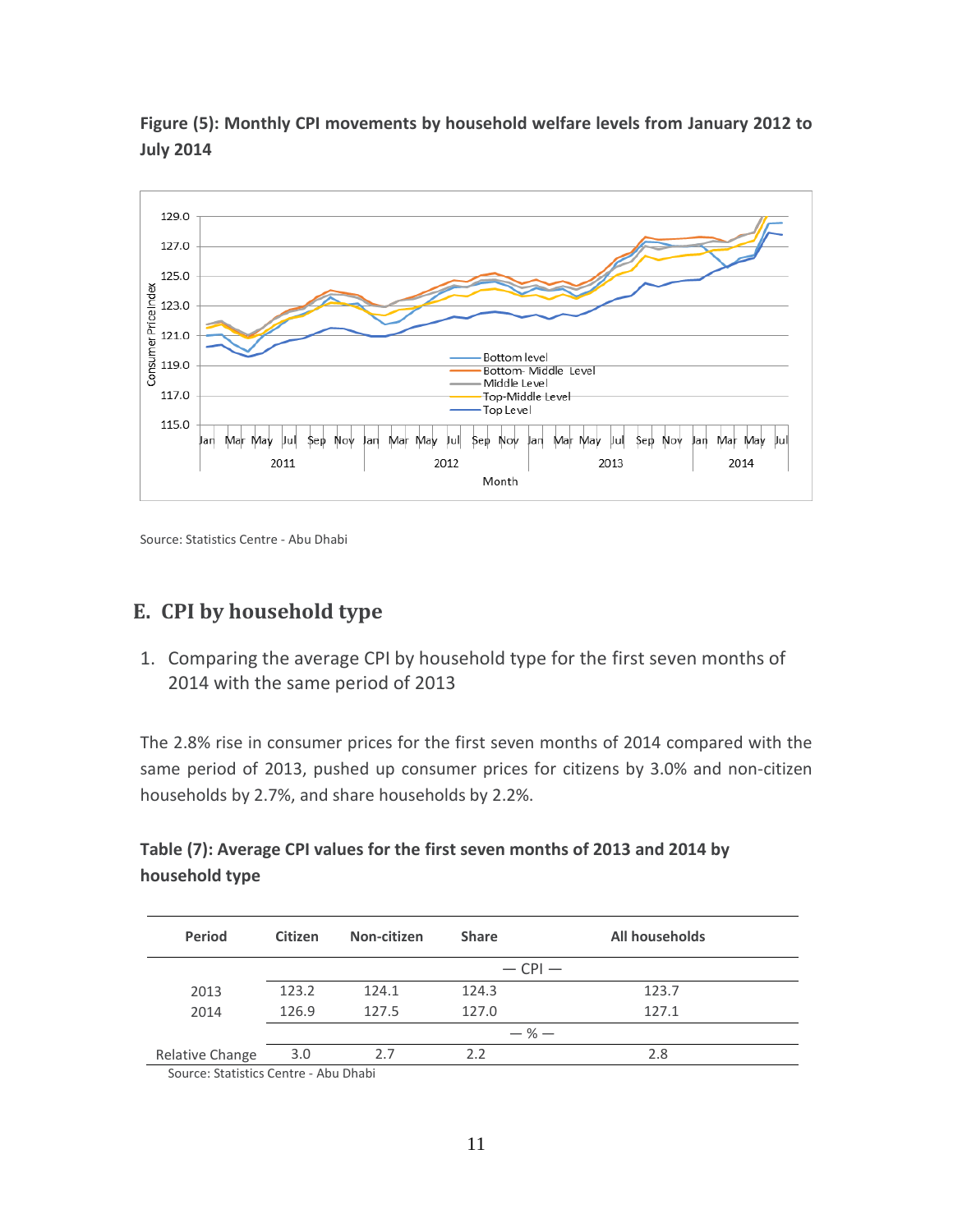

**Figure (5): Monthly CPI movements by household welfare levels from January 2012 to July 2014**

Source: Statistics Centre - Abu Dhabi

# <span id="page-11-0"></span>**E. CPI by household type**

<span id="page-11-1"></span>1. Comparing the average CPI by household type for the first seven months of 2014 with the same period of 2013

The 2.8% rise in consumer prices for the first seven months of 2014 compared with the same period of 2013, pushed up consumer prices for citizens by 3.0% and non-citizen households by 2.7%, and share households by 2.2%.

| Table (7): Average CPI values for the first seven months of 2013 and 2014 by |  |
|------------------------------------------------------------------------------|--|
| household type                                                               |  |

| <b>Period</b>   | <b>Citizen</b> | Non-citizen | <b>Share</b> | All households |
|-----------------|----------------|-------------|--------------|----------------|
|                 |                |             |              | $-$ CPI $-$    |
| 2013            | 123.2          | 124.1       | 124.3        | 123.7          |
| 2014            | 126.9          | 127.5       | 127.0        | 127.1          |
|                 |                |             |              | $-$ % $-$      |
| Relative Change | 3.0            | 2.7         | 2.2          | 2.8            |
|                 |                |             |              |                |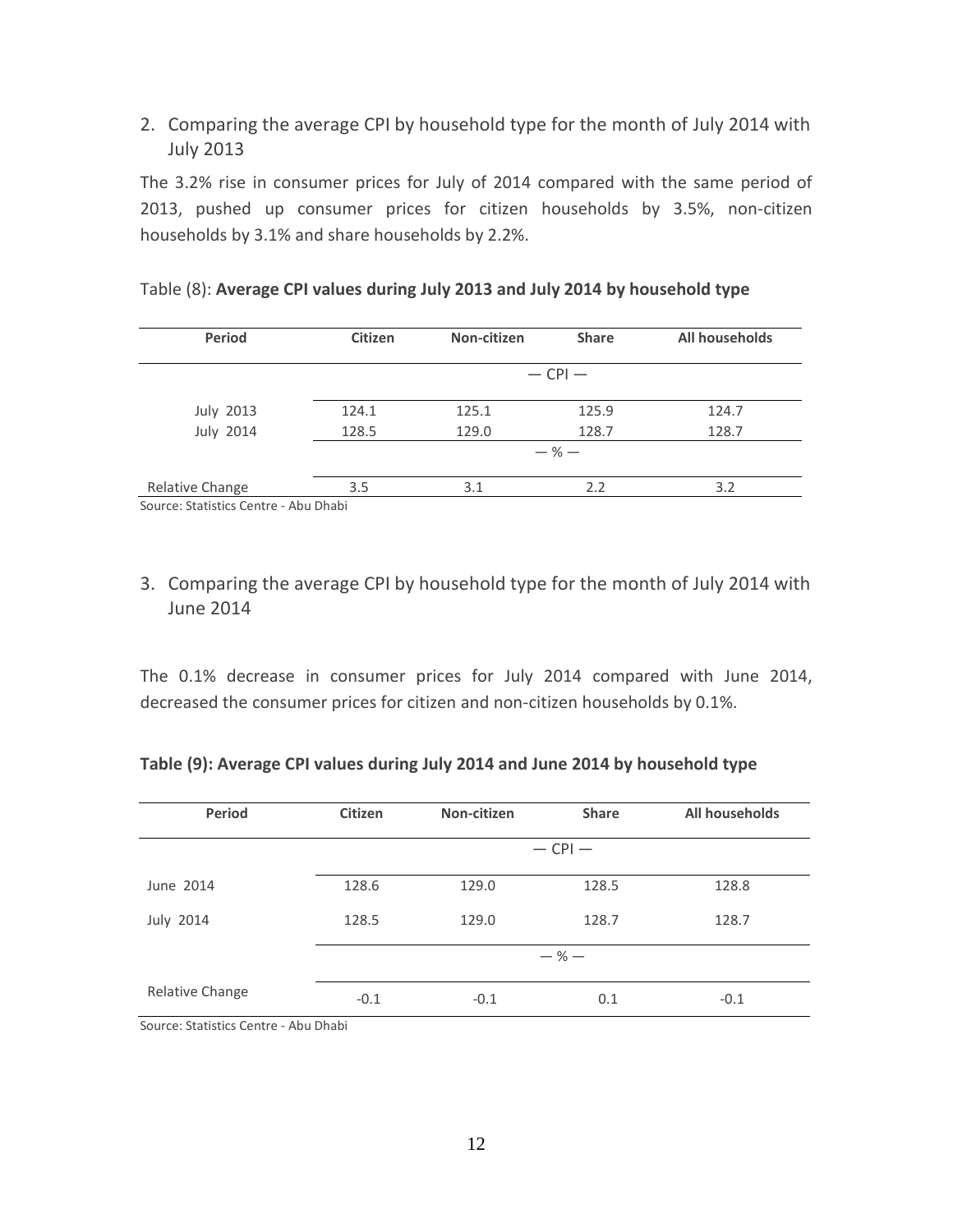### <span id="page-12-0"></span>2. Comparing the average CPI by household type for the month of July 2014 with July 2013

The 3.2% rise in consumer prices for July of 2014 compared with the same period of 2013, pushed up consumer prices for citizen households by 3.5%, non-citizen households by 3.1% and share households by 2.2%.

|       |       | $-$ CPI $-$ |                                                    |
|-------|-------|-------------|----------------------------------------------------|
|       |       |             |                                                    |
| 124.1 | 125.1 | 125.9       | 124.7                                              |
| 128.5 | 129.0 | 128.7       | 128.7                                              |
|       |       |             |                                                    |
| 3.5   | 3.1   | 2.2         | 3.2                                                |
|       |       |             | $-$ % $-$<br>Source: Statistics Centre - Abu Dhahi |

#### Table (8): **Average CPI values during July 2013 and July 2014 by household type**

Source: Statistics Centre - Abu Dhabi

### <span id="page-12-1"></span>3. Comparing the average CPI by household type for the month of July 2014 with June 2014

The 0.1% decrease in consumer prices for July 2014 compared with June 2014, decreased the consumer prices for citizen and non-citizen households by 0.1%.

#### **Table (9): Average CPI values during July 2014 and June 2014 by household type**

| Period           | <b>Citizen</b> | Non-citizen | <b>Share</b> | All households |
|------------------|----------------|-------------|--------------|----------------|
|                  |                |             | $-$ CPI $-$  |                |
| June 2014        | 128.6          | 129.0       | 128.5        | 128.8          |
| <b>July 2014</b> | 128.5          | 129.0       | 128.7        | 128.7          |
|                  |                |             | $-$ % $-$    |                |
| Relative Change  | $-0.1$         | $-0.1$      | 0.1          | $-0.1$         |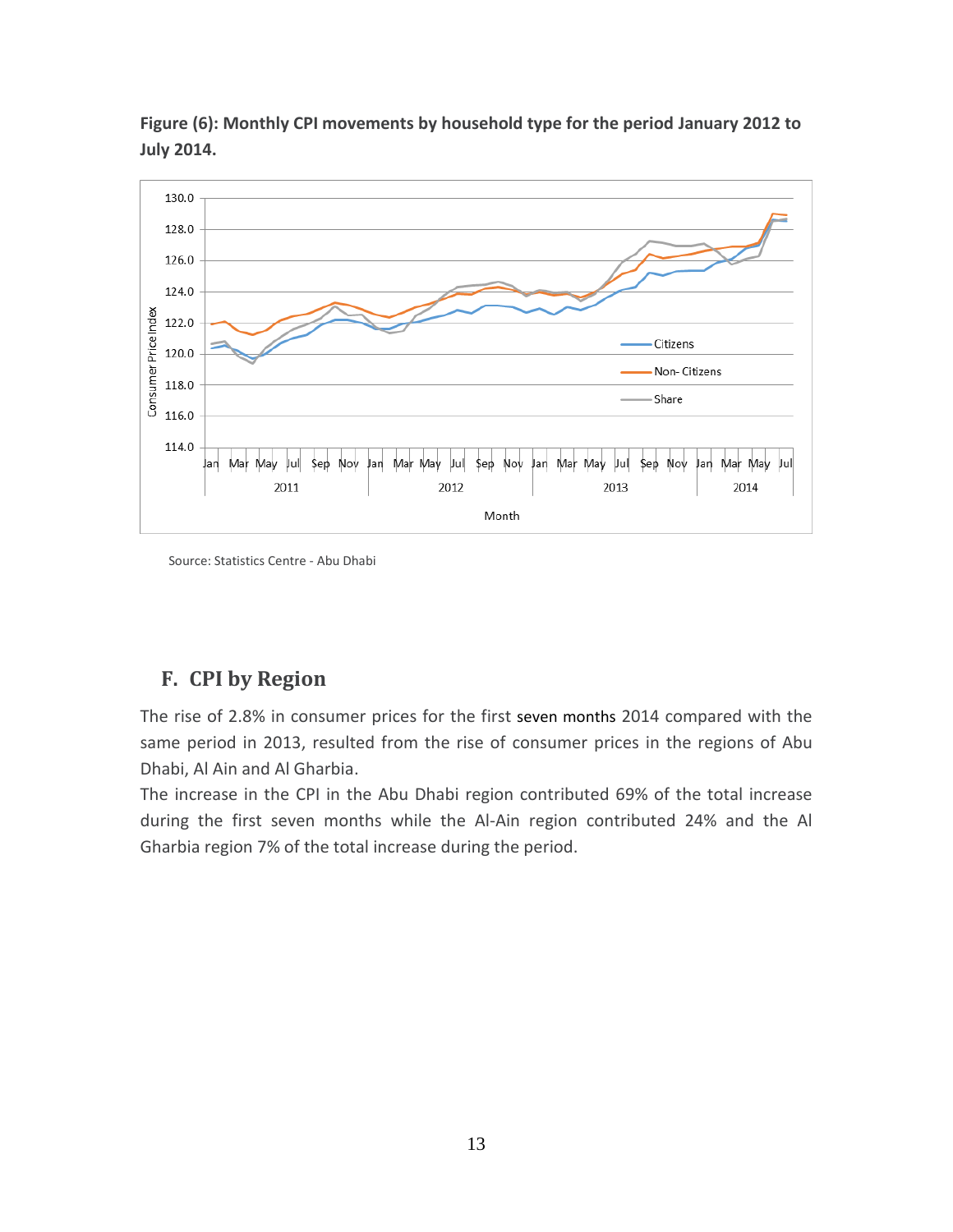

**Figure (6): Monthly CPI movements by household type for the period January 2012 to July 2014.**

Source: Statistics Centre - Abu Dhabi

# <span id="page-13-0"></span>**F. CPI by Region**

The rise of 2.8% in consumer prices for the first seven months 2014 compared with the same period in 2013, resulted from the rise of consumer prices in the regions of Abu Dhabi, Al Ain and Al Gharbia.

The increase in the CPI in the Abu Dhabi region contributed 69% of the total increase during the first seven months while the Al-Ain region contributed 24% and the Al Gharbia region 7% of the total increase during the period.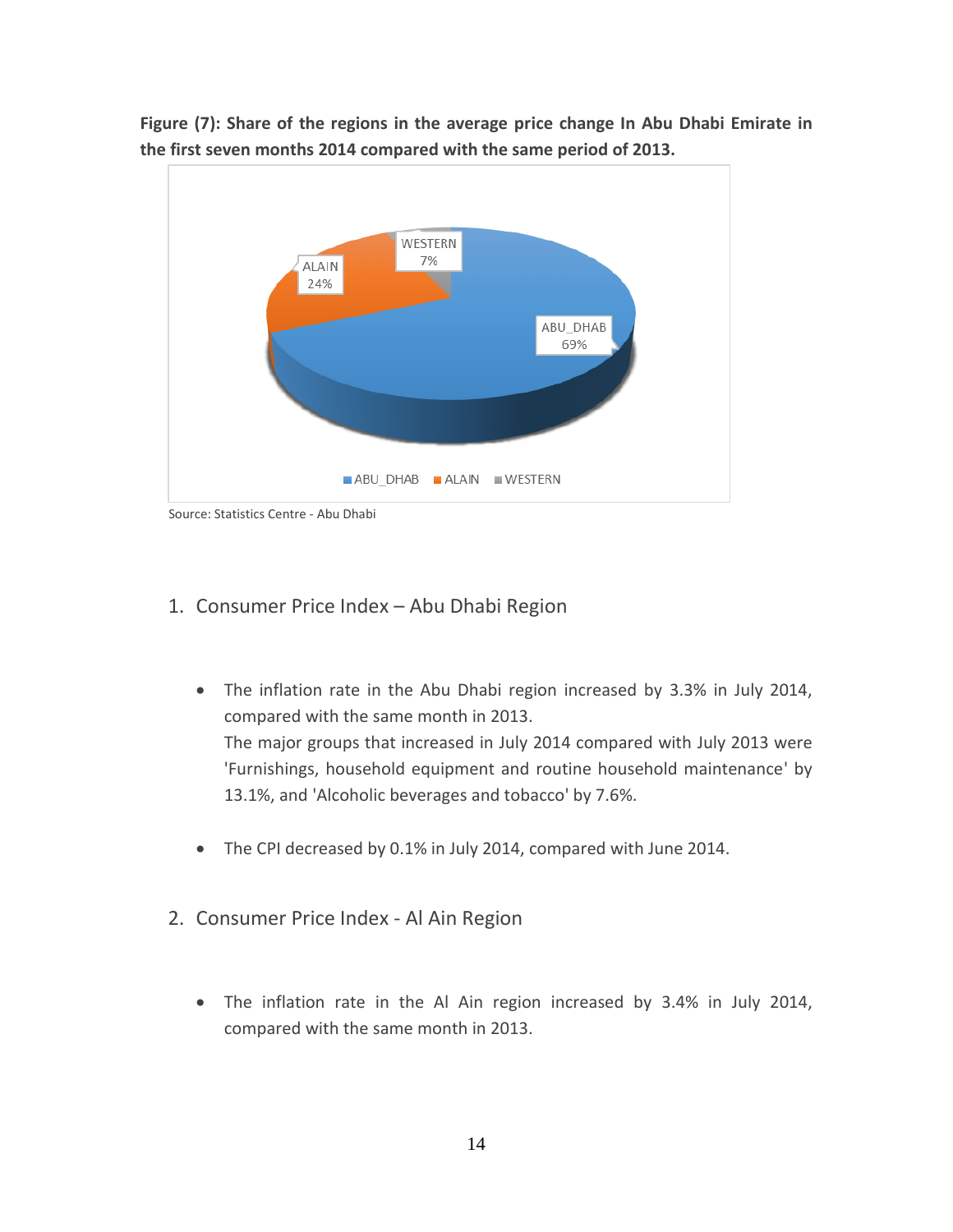

**Figure (7): Share of the regions in the average price change In Abu Dhabi Emirate in the first seven months 2014 compared with the same period of 2013.**

Source: Statistics Centre - Abu Dhabi

#### <span id="page-14-0"></span>1. Consumer Price Index – Abu Dhabi Region

- The inflation rate in the Abu Dhabi region increased by 3.3% in July 2014, compared with the same month in 2013. The major groups that increased in July 2014 compared with July 2013 were 'Furnishings, household equipment and routine household maintenance' by 13.1%, and 'Alcoholic beverages and tobacco' by 7.6%.
- The CPI decreased by 0.1% in July 2014, compared with June 2014.
- <span id="page-14-1"></span>2. Consumer Price Index - Al Ain Region
	- The inflation rate in the Al Ain region increased by 3.4% in July 2014, compared with the same month in 2013.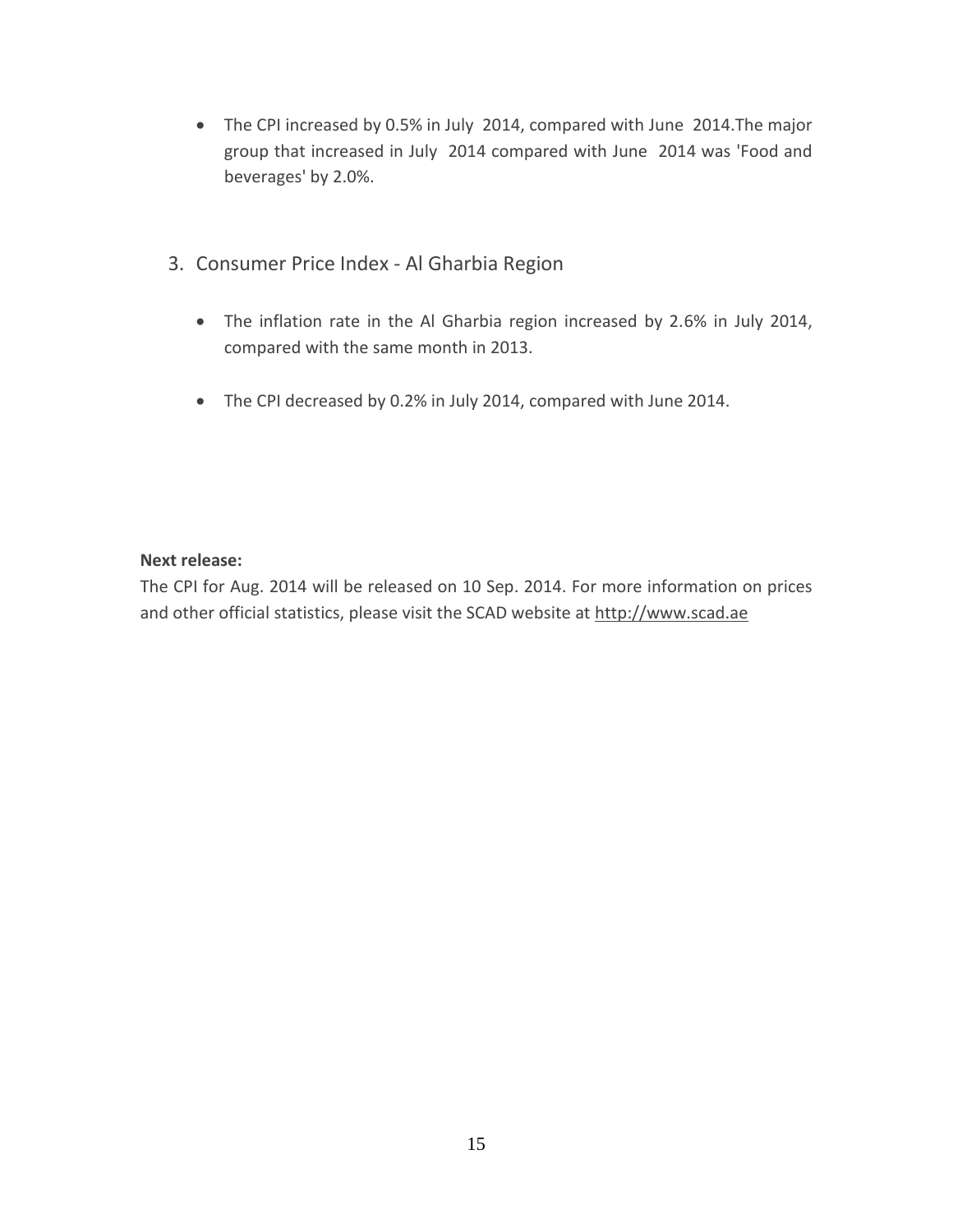- The CPI increased by 0.5% in July 2014, compared with June 2014.The major group that increased in July 2014 compared with June 2014 was 'Food and beverages' by 2.0%.
- <span id="page-15-0"></span>3. Consumer Price Index - Al Gharbia Region
	- The inflation rate in the Al Gharbia region increased by 2.6% in July 2014, compared with the same month in 2013.
	- The CPI decreased by 0.2% in July 2014, compared with June 2014.

#### **Next release:**

The CPI for Aug. 2014 will be released on 10 Sep. 2014. For more information on prices and other official statistics, please visit the SCAD website at [http://www.scad.ae](http://www.scad.ae/)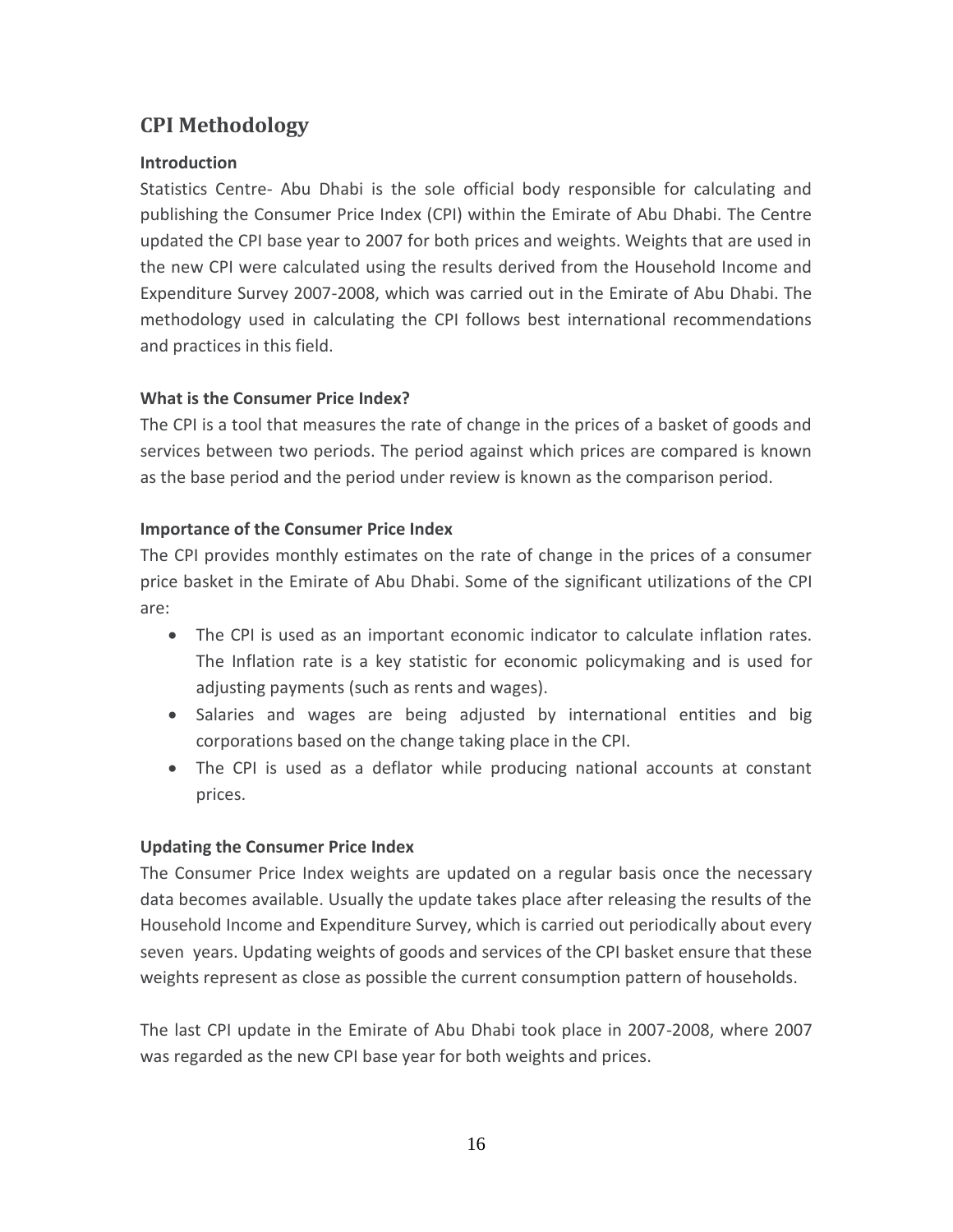# <span id="page-16-0"></span>**CPI Methodology**

#### **Introduction**

Statistics Centre- Abu Dhabi is the sole official body responsible for calculating and publishing the Consumer Price Index (CPI) within the Emirate of Abu Dhabi. The Centre updated the CPI base year to 2007 for both prices and weights. Weights that are used in the new CPI were calculated using the results derived from the Household Income and Expenditure Survey 2007-2008, which was carried out in the Emirate of Abu Dhabi. The methodology used in calculating the CPI follows best international recommendations and practices in this field.

#### **What is the Consumer Price Index?**

The CPI is a tool that measures the rate of change in the prices of a basket of goods and services between two periods. The period against which prices are compared is known as the base period and the period under review is known as the comparison period.

#### **Importance of the Consumer Price Index**

The CPI provides monthly estimates on the rate of change in the prices of a consumer price basket in the Emirate of Abu Dhabi. Some of the significant utilizations of the CPI are:

- The CPI is used as an important economic indicator to calculate inflation rates. The Inflation rate is a key statistic for economic policymaking and is used for adjusting payments (such as rents and wages).
- Salaries and wages are being adjusted by international entities and big corporations based on the change taking place in the CPI.
- The CPI is used as a deflator while producing national accounts at constant prices.

#### **Updating the Consumer Price Index**

The Consumer Price Index weights are updated on a regular basis once the necessary data becomes available. Usually the update takes place after releasing the results of the Household Income and Expenditure Survey, which is carried out periodically about every seven years. Updating weights of goods and services of the CPI basket ensure that these weights represent as close as possible the current consumption pattern of households.

The last CPI update in the Emirate of Abu Dhabi took place in 2007-2008, where 2007 was regarded as the new CPI base year for both weights and prices.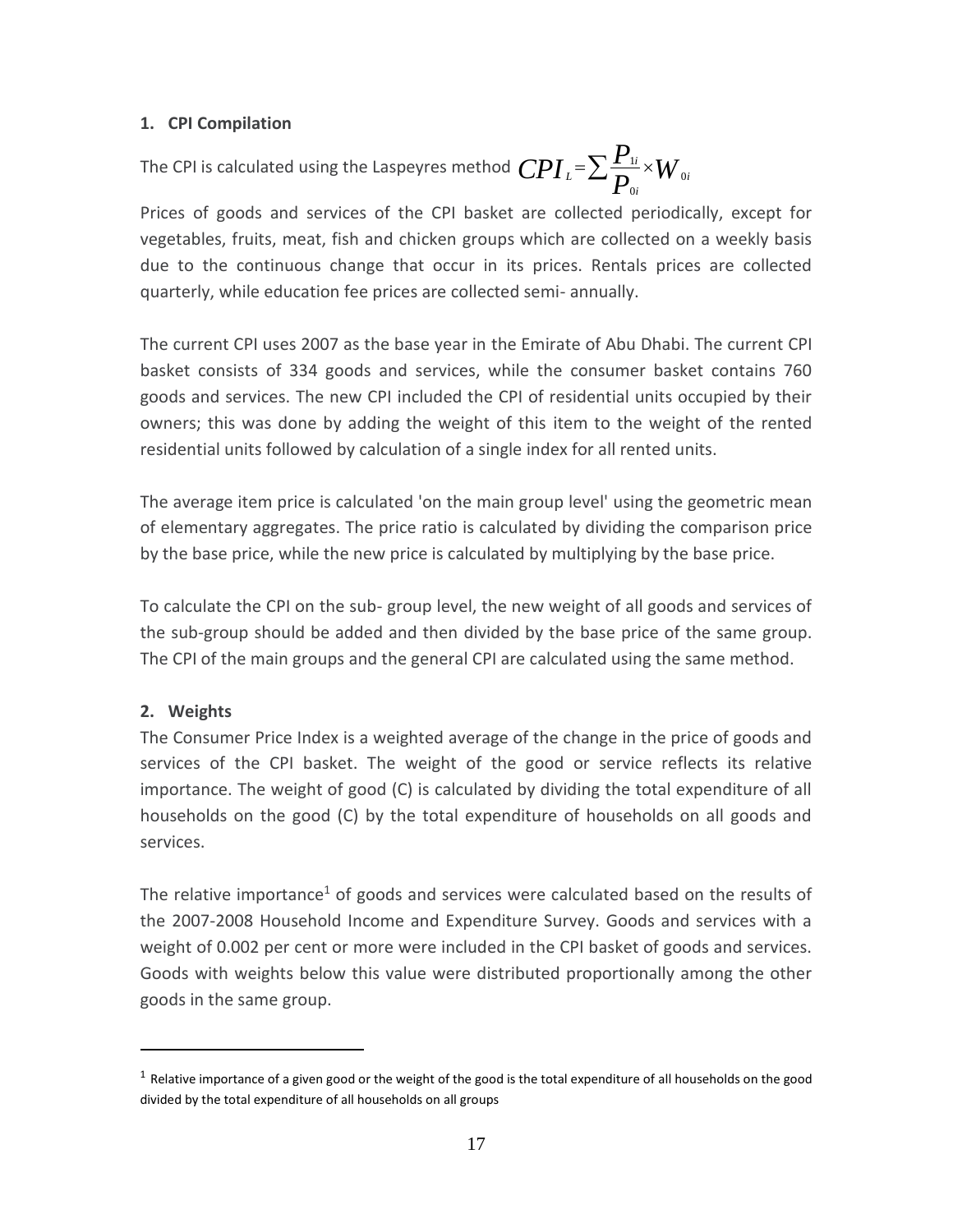#### **1. CPI Compilation**

#### The CPI is calculated using the Laspeyres method  $\mathit{CPI}_{\scriptscriptstyle{L}}$  =  $\sum$   $\frac{I_{\scriptscriptstyle{1}}}{P_{\scriptscriptstyle{0i}}}$   $\times$   $W$ *P*  $CPI_{\iota} = \sum_{\mathbf{D}} \frac{\mathbf{I}_{\iota}}{\mathbf{D}} \times W_{\iota}$ *i i L* 0 0  $=\sum \frac{\boldsymbol{F}_{1i}}{\boldsymbol{D}}\times$

Prices of goods and services of the CPI basket are collected periodically, except for vegetables, fruits, meat, fish and chicken groups which are collected on a weekly basis due to the continuous change that occur in its prices. Rentals prices are collected quarterly, while education fee prices are collected semi- annually.

The current CPI uses 2007 as the base year in the Emirate of Abu Dhabi. The current CPI basket consists of 334 goods and services, while the consumer basket contains 760 goods and services. The new CPI included the CPI of residential units occupied by their owners; this was done by adding the weight of this item to the weight of the rented residential units followed by calculation of a single index for all rented units.

The average item price is calculated 'on the main group level' using the geometric mean of elementary aggregates. The price ratio is calculated by dividing the comparison price by the base price, while the new price is calculated by multiplying by the base price.

To calculate the CPI on the sub- group level, the new weight of all goods and services of the sub-group should be added and then divided by the base price of the same group. The CPI of the main groups and the general CPI are calculated using the same method.

#### **2. Weights**

l

The Consumer Price Index is a weighted average of the change in the price of goods and services of the CPI basket. The weight of the good or service reflects its relative importance. The weight of good (C) is calculated by dividing the total expenditure of all households on the good (C) by the total expenditure of households on all goods and services.

The relative importance<sup>1</sup> of goods and services were calculated based on the results of the 2007-2008 Household Income and Expenditure Survey. Goods and services with a weight of 0.002 per cent or more were included in the CPI basket of goods and services. Goods with weights below this value were distributed proportionally among the other goods in the same group.

 $^1$  Relative importance of a given good or the weight of the good is the total expenditure of all households on the good divided by the total expenditure of all households on all groups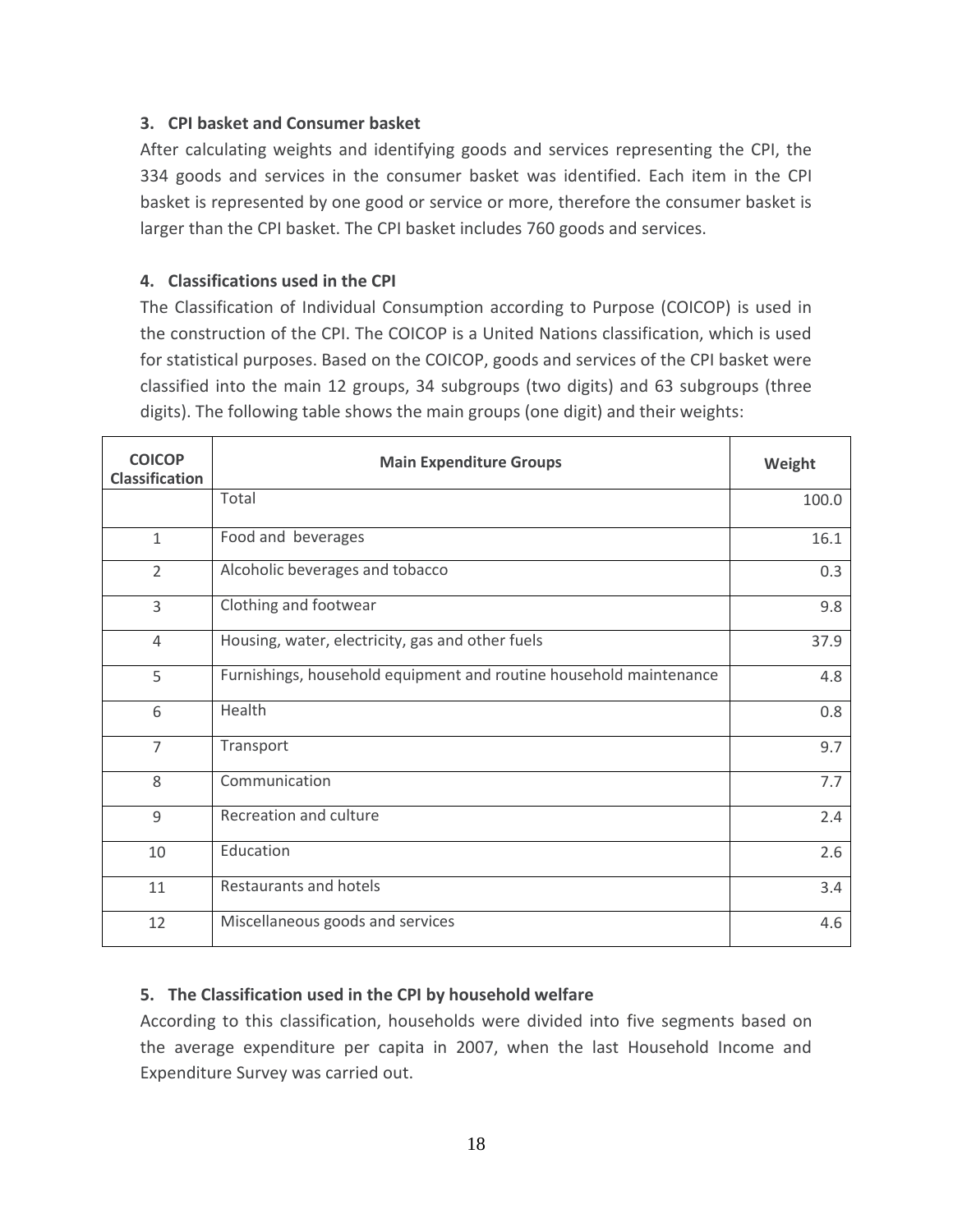#### **3. CPI basket and Consumer basket**

After calculating weights and identifying goods and services representing the CPI, the 334 goods and services in the consumer basket was identified. Each item in the CPI basket is represented by one good or service or more, therefore the consumer basket is larger than the CPI basket. The CPI basket includes 760 goods and services.

#### **4. Classifications used in the CPI**

The Classification of Individual Consumption according to Purpose (COICOP) is used in the construction of the CPI. The COICOP is a United Nations classification, which is used for statistical purposes. Based on the COICOP, goods and services of the CPI basket were classified into the main 12 groups, 34 subgroups (two digits) and 63 subgroups (three digits). The following table shows the main groups (one digit) and their weights:

| <b>COICOP</b><br><b>Classification</b> | <b>Main Expenditure Groups</b>                                     | Weight |
|----------------------------------------|--------------------------------------------------------------------|--------|
|                                        | Total                                                              | 100.0  |
| $\mathbf{1}$                           | Food and beverages                                                 | 16.1   |
| $\overline{2}$                         | Alcoholic beverages and tobacco                                    | 0.3    |
| 3                                      | Clothing and footwear                                              | 9.8    |
| $\overline{4}$                         | Housing, water, electricity, gas and other fuels                   | 37.9   |
| 5                                      | Furnishings, household equipment and routine household maintenance | 4.8    |
| 6                                      | Health                                                             | 0.8    |
| $\overline{7}$                         | Transport                                                          | 9.7    |
| 8                                      | Communication                                                      | 7.7    |
| 9                                      | Recreation and culture                                             | 2.4    |
| 10                                     | Education                                                          | 2.6    |
| 11                                     | Restaurants and hotels                                             | 3.4    |
| 12                                     | Miscellaneous goods and services                                   | 4.6    |

#### **5. The Classification used in the CPI by household welfare**

According to this classification, households were divided into five segments based on the average expenditure per capita in 2007, when the last Household Income and Expenditure Survey was carried out.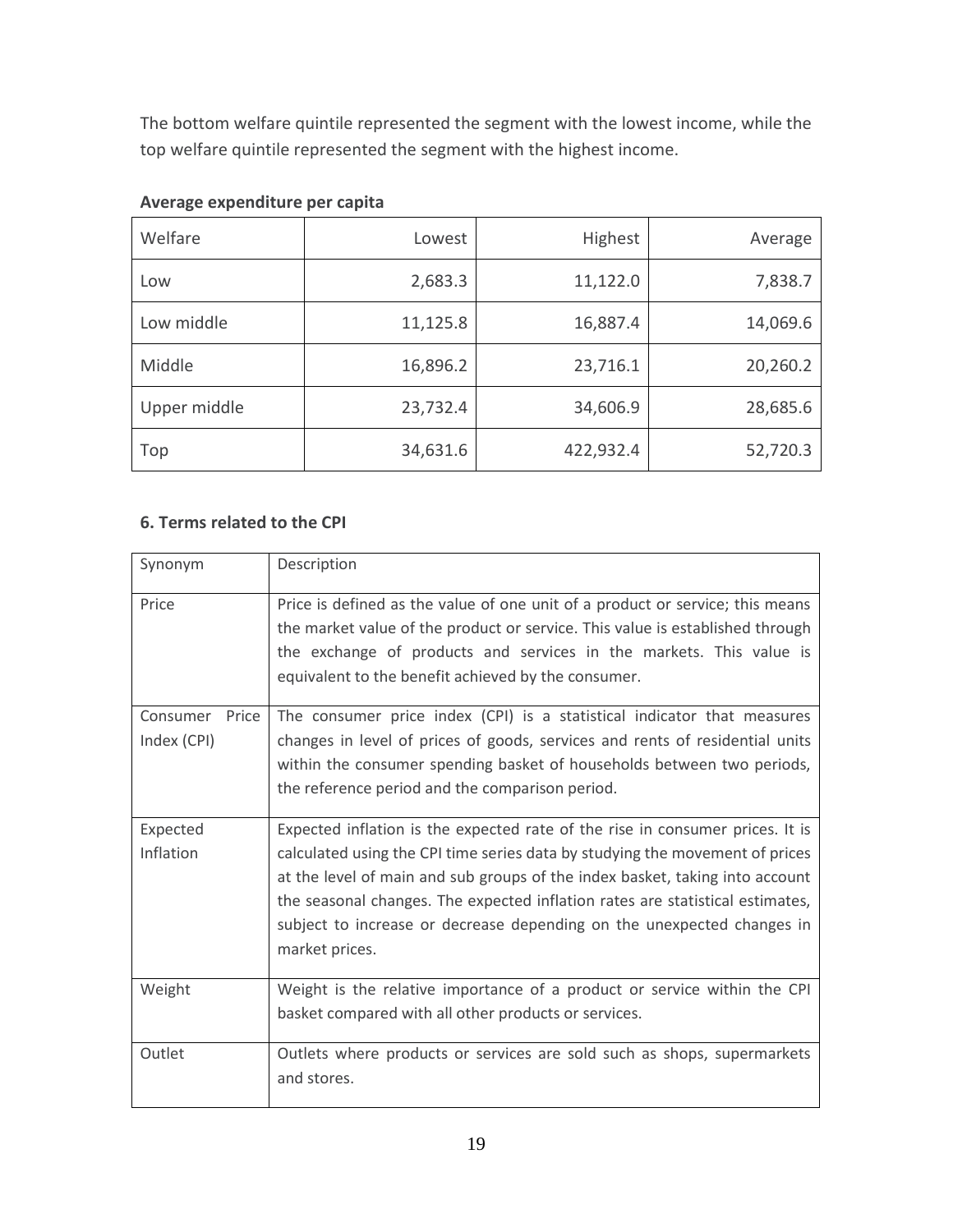The bottom welfare quintile represented the segment with the lowest income, while the top welfare quintile represented the segment with the highest income.

| Welfare      | Lowest   | <b>Highest</b> | Average  |
|--------------|----------|----------------|----------|
| Low          | 2,683.3  | 11,122.0       | 7,838.7  |
| Low middle   | 11,125.8 | 16,887.4       | 14,069.6 |
| Middle       | 16,896.2 | 23,716.1       | 20,260.2 |
| Upper middle | 23,732.4 | 34,606.9       | 28,685.6 |
| Top          | 34,631.6 | 422,932.4      | 52,720.3 |

#### **Average expenditure per capita**

#### **6. Terms related to the CPI**

| Synonym                          | Description                                                                                                                                                                                                                                                                                                                                                                                                                |
|----------------------------------|----------------------------------------------------------------------------------------------------------------------------------------------------------------------------------------------------------------------------------------------------------------------------------------------------------------------------------------------------------------------------------------------------------------------------|
| Price                            | Price is defined as the value of one unit of a product or service; this means<br>the market value of the product or service. This value is established through<br>the exchange of products and services in the markets. This value is<br>equivalent to the benefit achieved by the consumer.                                                                                                                               |
| Consumer<br>Price<br>Index (CPI) | The consumer price index (CPI) is a statistical indicator that measures<br>changes in level of prices of goods, services and rents of residential units<br>within the consumer spending basket of households between two periods,<br>the reference period and the comparison period.                                                                                                                                       |
| Expected<br>Inflation            | Expected inflation is the expected rate of the rise in consumer prices. It is<br>calculated using the CPI time series data by studying the movement of prices<br>at the level of main and sub groups of the index basket, taking into account<br>the seasonal changes. The expected inflation rates are statistical estimates,<br>subject to increase or decrease depending on the unexpected changes in<br>market prices. |
| Weight                           | Weight is the relative importance of a product or service within the CPI<br>basket compared with all other products or services.                                                                                                                                                                                                                                                                                           |
| Outlet                           | Outlets where products or services are sold such as shops, supermarkets<br>and stores.                                                                                                                                                                                                                                                                                                                                     |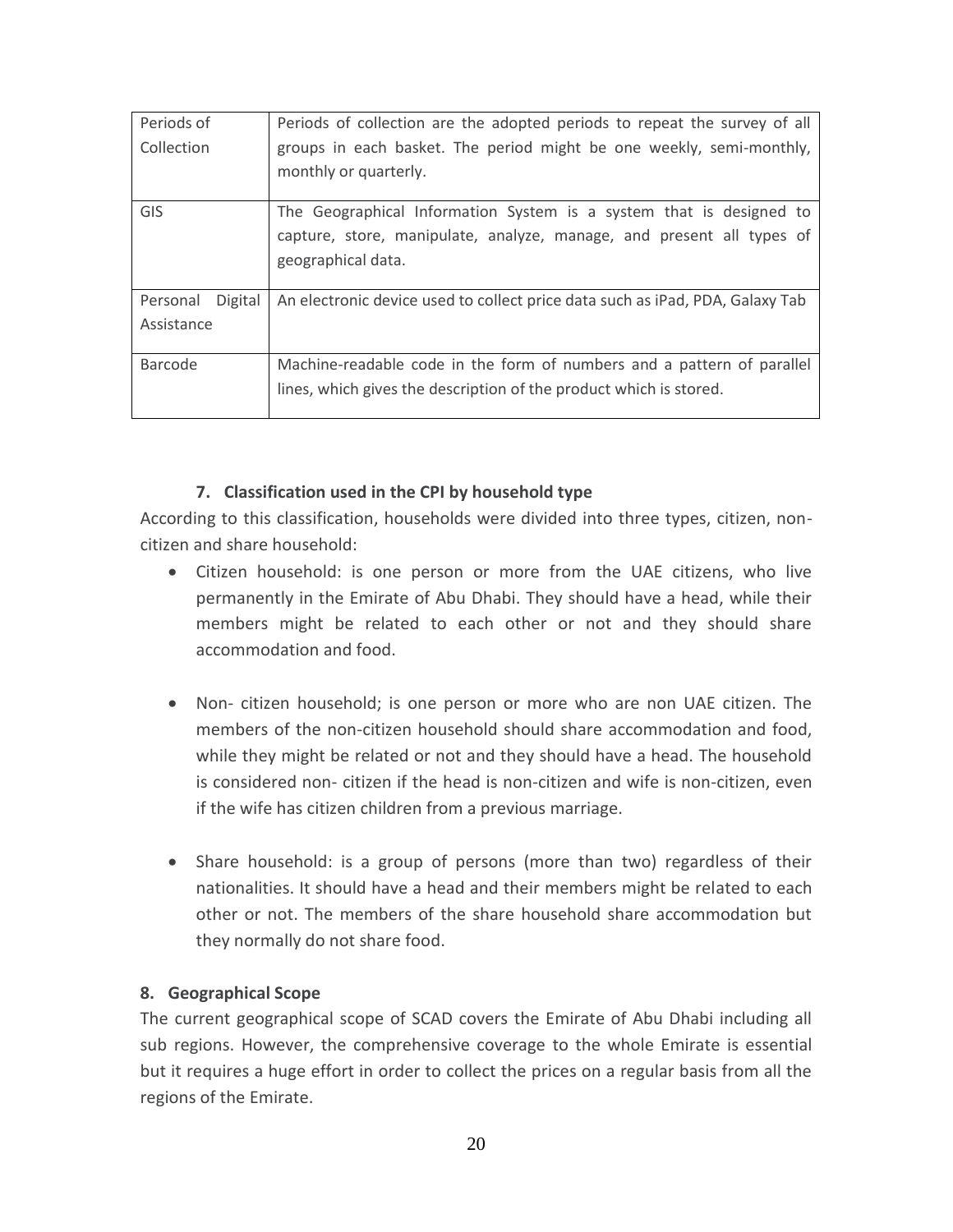| Periods of          | Periods of collection are the adopted periods to repeat the survey of all     |
|---------------------|-------------------------------------------------------------------------------|
| Collection          | groups in each basket. The period might be one weekly, semi-monthly,          |
|                     | monthly or quarterly.                                                         |
| GIS                 | The Geographical Information System is a system that is designed to           |
|                     | capture, store, manipulate, analyze, manage, and present all types of         |
|                     | geographical data.                                                            |
| Digital<br>Personal | An electronic device used to collect price data such as iPad, PDA, Galaxy Tab |
| Assistance          |                                                                               |
| Barcode             | Machine-readable code in the form of numbers and a pattern of parallel        |
|                     | lines, which gives the description of the product which is stored.            |

#### **7. Classification used in the CPI by household type**

According to this classification, households were divided into three types, citizen, noncitizen and share household:

- Citizen household: is one person or more from the UAE citizens, who live permanently in the Emirate of Abu Dhabi. They should have a head, while their members might be related to each other or not and they should share accommodation and food.
- Non- citizen household; is one person or more who are non UAE citizen. The members of the non-citizen household should share accommodation and food, while they might be related or not and they should have a head. The household is considered non- citizen if the head is non-citizen and wife is non-citizen, even if the wife has citizen children from a previous marriage.
- Share household: is a group of persons (more than two) regardless of their nationalities. It should have a head and their members might be related to each other or not. The members of the share household share accommodation but they normally do not share food.

#### **8. Geographical Scope**

The current geographical scope of SCAD covers the Emirate of Abu Dhabi including all sub regions. However, the comprehensive coverage to the whole Emirate is essential but it requires a huge effort in order to collect the prices on a regular basis from all the regions of the Emirate.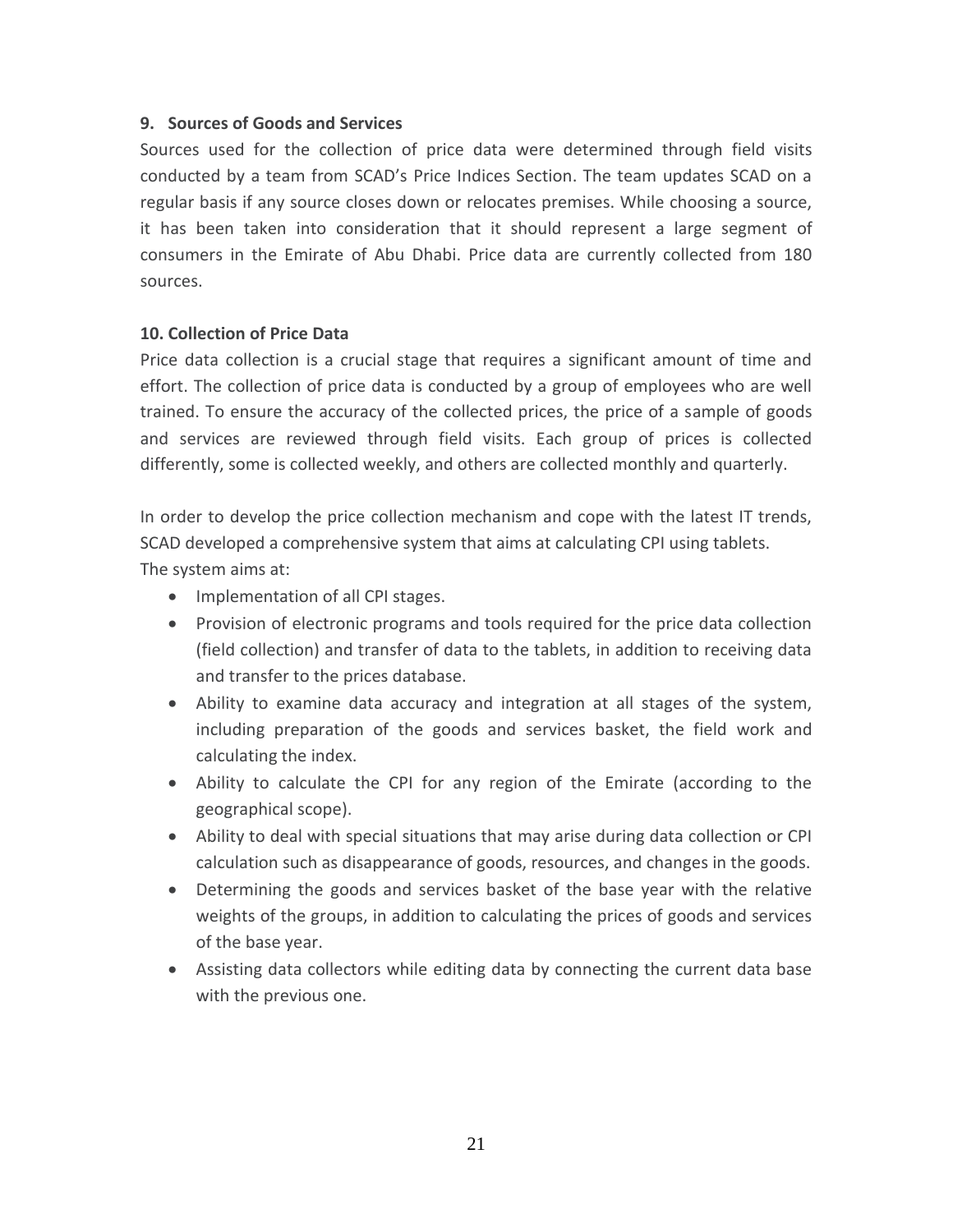#### **9. Sources of Goods and Services**

Sources used for the collection of price data were determined through field visits conducted by a team from SCAD's Price Indices Section. The team updates SCAD on a regular basis if any source closes down or relocates premises. While choosing a source, it has been taken into consideration that it should represent a large segment of consumers in the Emirate of Abu Dhabi. Price data are currently collected from 180 sources.

#### **10. Collection of Price Data**

Price data collection is a crucial stage that requires a significant amount of time and effort. The collection of price data is conducted by a group of employees who are well trained. To ensure the accuracy of the collected prices, the price of a sample of goods and services are reviewed through field visits. Each group of prices is collected differently, some is collected weekly, and others are collected monthly and quarterly.

In order to develop the price collection mechanism and cope with the latest IT trends, SCAD developed a comprehensive system that aims at calculating CPI using tablets. The system aims at:

- Implementation of all CPI stages.
- Provision of electronic programs and tools required for the price data collection (field collection) and transfer of data to the tablets, in addition to receiving data and transfer to the prices database.
- Ability to examine data accuracy and integration at all stages of the system, including preparation of the goods and services basket, the field work and calculating the index.
- Ability to calculate the CPI for any region of the Emirate (according to the geographical scope).
- Ability to deal with special situations that may arise during data collection or CPI calculation such as disappearance of goods, resources, and changes in the goods.
- Determining the goods and services basket of the base year with the relative weights of the groups, in addition to calculating the prices of goods and services of the base year.
- Assisting data collectors while editing data by connecting the current data base with the previous one.